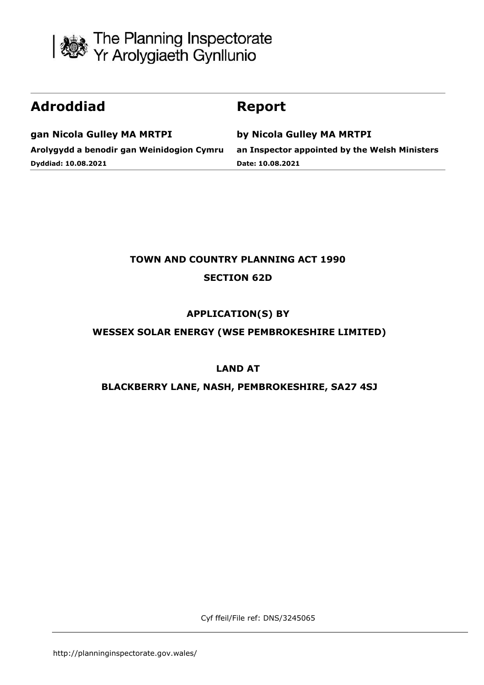

# **Adroddiad Report**

**gan Nicola Gulley MA MRTPI Arolygydd a benodir gan Weinidogion Cymru Dyddiad: 10.08.2021**

**by Nicola Gulley MA MRTPI an Inspector appointed by the Welsh Ministers Date: 10.08.2021**

## **TOWN AND COUNTRY PLANNING ACT 1990**

## **SECTION 62D**

## **APPLICATION(S) BY**

## **WESSEX SOLAR ENERGY (WSE PEMBROKESHIRE LIMITED)**

## **LAND AT**

## **BLACKBERRY LANE, NASH, PEMBROKESHIRE, SA27 4SJ**

Cyf ffeil/File ref: DNS/3245065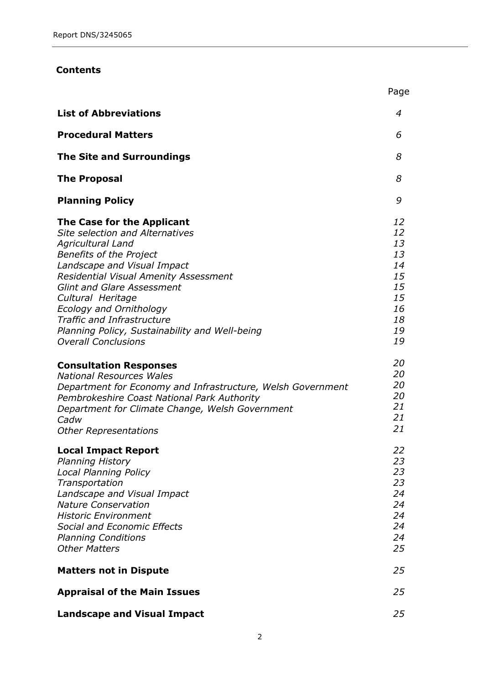#### **Contents**

|                                                                                                                                                                                                                                                                                                                                                                                                        | Page                                                                 |
|--------------------------------------------------------------------------------------------------------------------------------------------------------------------------------------------------------------------------------------------------------------------------------------------------------------------------------------------------------------------------------------------------------|----------------------------------------------------------------------|
| <b>List of Abbreviations</b>                                                                                                                                                                                                                                                                                                                                                                           | 4                                                                    |
| <b>Procedural Matters</b>                                                                                                                                                                                                                                                                                                                                                                              | 6                                                                    |
| <b>The Site and Surroundings</b>                                                                                                                                                                                                                                                                                                                                                                       | 8                                                                    |
| <b>The Proposal</b>                                                                                                                                                                                                                                                                                                                                                                                    | 8                                                                    |
| <b>Planning Policy</b>                                                                                                                                                                                                                                                                                                                                                                                 | 9                                                                    |
| The Case for the Applicant<br><b>Site selection and Alternatives</b><br>Agricultural Land<br><b>Benefits of the Project</b><br>Landscape and Visual Impact<br>Residential Visual Amenity Assessment<br><b>Glint and Glare Assessment</b><br>Cultural Heritage<br>Ecology and Ornithology<br>Traffic and Infrastructure<br>Planning Policy, Sustainability and Well-being<br><b>Overall Conclusions</b> | 12<br>12<br>13<br>13<br>14<br>15<br>15<br>15<br>16<br>18<br>19<br>19 |
| <b>Consultation Responses</b><br><b>National Resources Wales</b><br>Department for Economy and Infrastructure, Welsh Government<br>Pembrokeshire Coast National Park Authority<br>Department for Climate Change, Welsh Government<br>Cadw<br><b>Other Representations</b>                                                                                                                              | 20<br>20<br>20<br>20<br>21<br>21<br>21                               |
| <b>Local Impact Report</b><br>Planning History<br><b>Local Planning Policy</b><br>Transportation<br>Landscape and Visual Impact<br><b>Nature Conservation</b><br><b>Historic Environment</b><br>Social and Economic Effects<br><b>Planning Conditions</b><br><b>Other Matters</b>                                                                                                                      | 22<br>23<br>23<br>23<br>24<br>24<br>24<br>24<br>24<br>25             |
| <b>Matters not in Dispute</b>                                                                                                                                                                                                                                                                                                                                                                          | 25                                                                   |
| <b>Appraisal of the Main Issues</b>                                                                                                                                                                                                                                                                                                                                                                    | 25                                                                   |
| <b>Landscape and Visual Impact</b>                                                                                                                                                                                                                                                                                                                                                                     | 25                                                                   |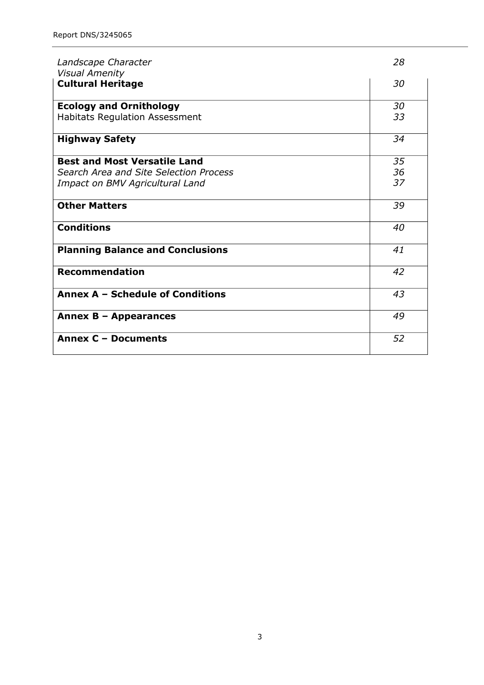| Landscape Character<br><b>Visual Amenity</b> | 28 |
|----------------------------------------------|----|
| <b>Cultural Heritage</b>                     | 30 |
| <b>Ecology and Ornithology</b>               | 30 |
| <b>Habitats Regulation Assessment</b>        | 33 |
| <b>Highway Safety</b>                        | 34 |
| <b>Best and Most Versatile Land</b>          | 35 |
| Search Area and Site Selection Process       | 36 |
| Impact on BMV Agricultural Land              | 37 |
| <b>Other Matters</b>                         | 39 |
| <b>Conditions</b>                            | 40 |
| <b>Planning Balance and Conclusions</b>      | 41 |
| <b>Recommendation</b>                        | 42 |
| Annex A - Schedule of Conditions             | 43 |
| Annex B - Appearances                        | 49 |
| <b>Annex C - Documents</b>                   | 52 |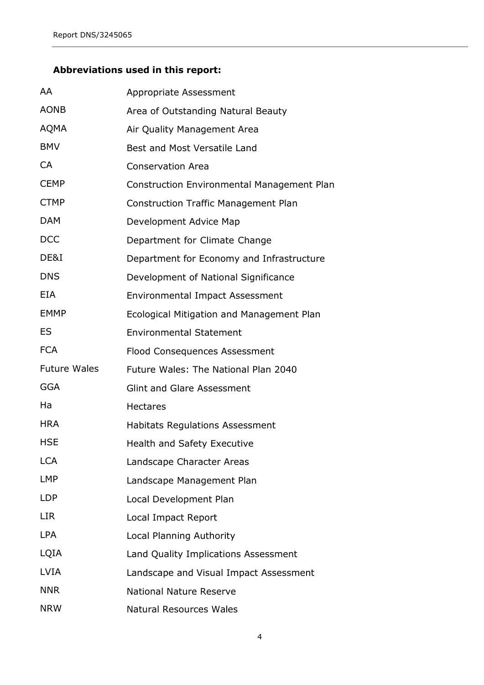## **Abbreviations used in this report:**

| AA                  | Appropriate Assessment                            |
|---------------------|---------------------------------------------------|
| <b>AONB</b>         | Area of Outstanding Natural Beauty                |
| <b>AQMA</b>         | Air Quality Management Area                       |
| <b>BMV</b>          | Best and Most Versatile Land                      |
| <b>CA</b>           | <b>Conservation Area</b>                          |
| <b>CEMP</b>         | <b>Construction Environmental Management Plan</b> |
| <b>CTMP</b>         | <b>Construction Traffic Management Plan</b>       |
| <b>DAM</b>          | Development Advice Map                            |
| <b>DCC</b>          | Department for Climate Change                     |
| DE&I                | Department for Economy and Infrastructure         |
| <b>DNS</b>          | Development of National Significance              |
| <b>EIA</b>          | <b>Environmental Impact Assessment</b>            |
| <b>EMMP</b>         | Ecological Mitigation and Management Plan         |
| <b>ES</b>           | <b>Environmental Statement</b>                    |
| <b>FCA</b>          | Flood Consequences Assessment                     |
| <b>Future Wales</b> | Future Wales: The National Plan 2040              |
| <b>GGA</b>          | <b>Glint and Glare Assessment</b>                 |
| Ha                  | <b>Hectares</b>                                   |
| <b>HRA</b>          | <b>Habitats Regulations Assessment</b>            |
| <b>HSE</b>          | <b>Health and Safety Executive</b>                |
| <b>LCA</b>          | Landscape Character Areas                         |
| LMP                 | Landscape Management Plan                         |
| <b>LDP</b>          | Local Development Plan                            |
| <b>LIR</b>          | Local Impact Report                               |
| <b>LPA</b>          | <b>Local Planning Authority</b>                   |
| LQIA                | Land Quality Implications Assessment              |
| <b>LVIA</b>         | Landscape and Visual Impact Assessment            |
| <b>NNR</b>          | <b>National Nature Reserve</b>                    |
| <b>NRW</b>          | <b>Natural Resources Wales</b>                    |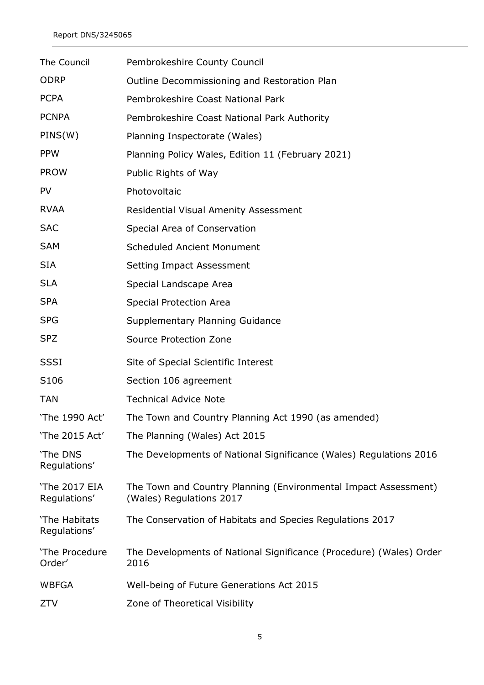| The Council                   | Pembrokeshire County Council                                                                |
|-------------------------------|---------------------------------------------------------------------------------------------|
| <b>ODRP</b>                   | Outline Decommissioning and Restoration Plan                                                |
| <b>PCPA</b>                   | Pembrokeshire Coast National Park                                                           |
| <b>PCNPA</b>                  | Pembrokeshire Coast National Park Authority                                                 |
| PINS(W)                       | Planning Inspectorate (Wales)                                                               |
| <b>PPW</b>                    | Planning Policy Wales, Edition 11 (February 2021)                                           |
| <b>PROW</b>                   | Public Rights of Way                                                                        |
| <b>PV</b>                     | Photovoltaic                                                                                |
| <b>RVAA</b>                   | <b>Residential Visual Amenity Assessment</b>                                                |
| <b>SAC</b>                    | Special Area of Conservation                                                                |
| <b>SAM</b>                    | <b>Scheduled Ancient Monument</b>                                                           |
| <b>SIA</b>                    | Setting Impact Assessment                                                                   |
| <b>SLA</b>                    | Special Landscape Area                                                                      |
| <b>SPA</b>                    | <b>Special Protection Area</b>                                                              |
| <b>SPG</b>                    | Supplementary Planning Guidance                                                             |
| <b>SPZ</b>                    | Source Protection Zone                                                                      |
| <b>SSSI</b>                   | Site of Special Scientific Interest                                                         |
| S106                          | Section 106 agreement                                                                       |
| <b>TAN</b>                    | <b>Technical Advice Note</b>                                                                |
| 'The 1990 Act'                | The Town and Country Planning Act 1990 (as amended)                                         |
| 'The 2015 Act'                | The Planning (Wales) Act 2015                                                               |
| 'The DNS<br>Regulations'      | The Developments of National Significance (Wales) Regulations 2016                          |
| 'The 2017 EIA<br>Regulations' | The Town and Country Planning (Environmental Impact Assessment)<br>(Wales) Regulations 2017 |
| 'The Habitats<br>Regulations' | The Conservation of Habitats and Species Regulations 2017                                   |
| 'The Procedure<br>Order'      | The Developments of National Significance (Procedure) (Wales) Order<br>2016                 |
| <b>WBFGA</b>                  | Well-being of Future Generations Act 2015                                                   |
| ZTV                           | Zone of Theoretical Visibility                                                              |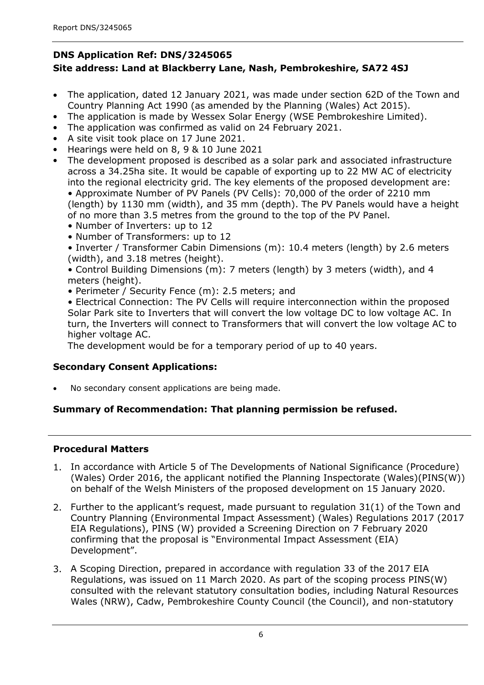## **DNS Application Ref: DNS/3245065 Site address: Land at Blackberry Lane, Nash, Pembrokeshire, SA72 4SJ**

- The application, dated 12 January 2021, was made under section 62D of the Town and Country Planning Act 1990 (as amended by the Planning (Wales) Act 2015).
- The application is made by Wessex Solar Energy (WSE Pembrokeshire Limited).  $\bullet$
- The application was confirmed as valid on 24 February 2021.  $\bullet$
- A site visit took place on 17 June 2021.  $\bullet$
- Hearings were held on 8, 9 & 10 June 2021  $\bullet$
- The development proposed is described as a solar park and associated infrastructure across a 34.25ha site. It would be capable of exporting up to 22 MW AC of electricity into the regional electricity grid. The key elements of the proposed development are: • Approximate Number of PV Panels (PV Cells): 70,000 of the order of 2210 mm (length) by 1130 mm (width), and 35 mm (depth). The PV Panels would have a height of no more than 3.5 metres from the ground to the top of the PV Panel.  $\bullet$ 
	- Number of Inverters: up to 12
	- Number of Transformers: up to 12
	- Inverter / Transformer Cabin Dimensions (m): 10.4 meters (length) by 2.6 meters (width), and 3.18 metres (height).
	- Control Building Dimensions (m): 7 meters (length) by 3 meters (width), and 4 meters (height).
	- Perimeter / Security Fence (m): 2.5 meters; and
	- Electrical Connection: The PV Cells will require interconnection within the proposed Solar Park site to Inverters that will convert the low voltage DC to low voltage AC. In turn, the Inverters will connect to Transformers that will convert the low voltage AC to higher voltage AC.

The development would be for a temporary period of up to 40 years.

## **Secondary Consent Applications:**

No secondary consent applications are being made.

## **Summary of Recommendation: That planning permission be refused.**

## **Procedural Matters**

- 1. In accordance with Article 5 of The Developments of National Significance (Procedure) (Wales) Order 2016, the applicant notified the Planning Inspectorate (Wales)(PINS(W)) on behalf of the Welsh Ministers of the proposed development on 15 January 2020.
- 2. Further to the applicant's request, made pursuant to regulation 31(1) of the Town and Country Planning (Environmental Impact Assessment) (Wales) Regulations 2017 (2017 EIA Regulations), PINS (W) provided a Screening Direction on 7 February 2020 confirming that the proposal is "Environmental Impact Assessment (EIA) Development".
- 3. A Scoping Direction, prepared in accordance with regulation 33 of the 2017 EIA Regulations, was issued on 11 March 2020. As part of the scoping process PINS(W) consulted with the relevant statutory consultation bodies, including Natural Resources Wales (NRW), Cadw, Pembrokeshire County Council (the Council), and non-statutory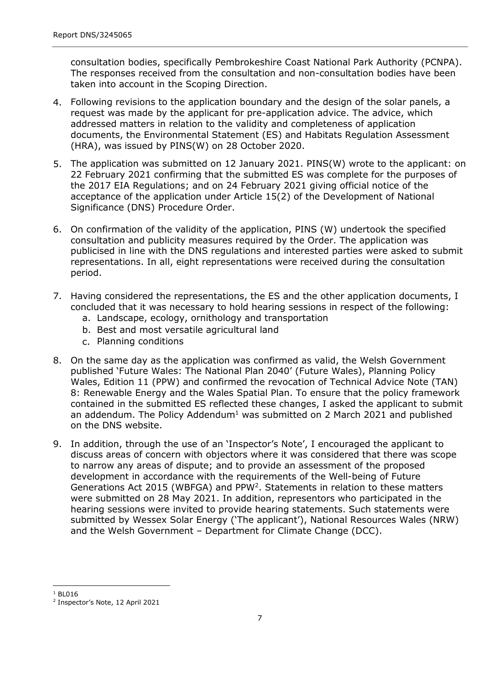consultation bodies, specifically Pembrokeshire Coast National Park Authority (PCNPA). The responses received from the consultation and non-consultation bodies have been taken into account in the Scoping Direction.

- Following revisions to the application boundary and the design of the solar panels, a 4. request was made by the applicant for pre-application advice. The advice, which addressed matters in relation to the validity and completeness of application documents, the Environmental Statement (ES) and Habitats Regulation Assessment (HRA), was issued by PINS(W) on 28 October 2020.
- 5. The application was submitted on 12 January 2021. PINS(W) wrote to the applicant: on 22 February 2021 confirming that the submitted ES was complete for the purposes of the 2017 EIA Regulations; and on 24 February 2021 giving official notice of the acceptance of the application under Article 15(2) of the Development of National Significance (DNS) Procedure Order.
- 6. On confirmation of the validity of the application, PINS (W) undertook the specified consultation and publicity measures required by the Order. The application was publicised in line with the DNS regulations and interested parties were asked to submit representations. In all, eight representations were received during the consultation period.
- 7. Having considered the representations, the ES and the other application documents, I concluded that it was necessary to hold hearing sessions in respect of the following:
	- a. Landscape, ecology, ornithology and transportation
	- b. Best and most versatile agricultural land
	- c. Planning conditions
- 8. On the same day as the application was confirmed as valid, the Welsh Government published 'Future Wales: The National Plan 2040' (Future Wales), Planning Policy Wales, Edition 11 (PPW) and confirmed the revocation of Technical Advice Note (TAN) 8: Renewable Energy and the Wales Spatial Plan. To ensure that the policy framework contained in the submitted ES reflected these changes, I asked the applicant to submit an addendum. The Policy Addendum<sup>1</sup> was submitted on 2 March 2021 and published on the DNS website.
- 9. In addition, through the use of an `Inspector's Note', I encouraged the applicant to discuss areas of concern with objectors where it was considered that there was scope to narrow any areas of dispute; and to provide an assessment of the proposed development in accordance with the requirements of the Well-being of Future Generations Act 2015 (WBFGA) and PPW<sup>2</sup>. Statements in relation to these matters were submitted on 28 May 2021. In addition, representors who participated in the hearing sessions were invited to provide hearing statements. Such statements were submitted by Wessex Solar Energy ('The applicant'), National Resources Wales (NRW) and the Welsh Government – Department for Climate Change (DCC).

 $1$  BL016

<sup>2</sup> Inspector's Note, 12 April 2021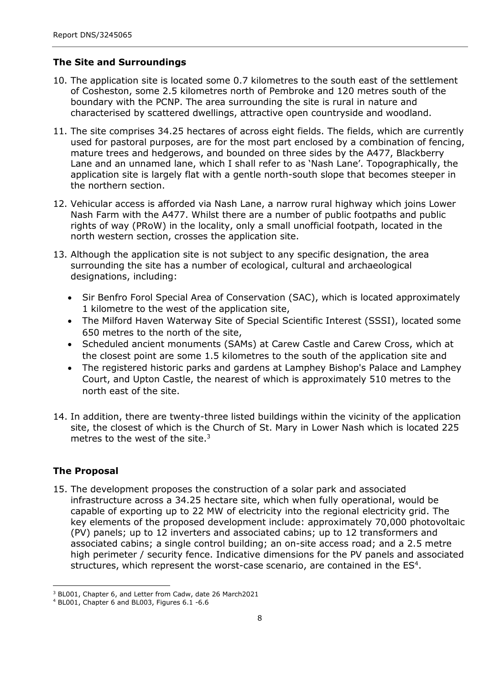### **The Site and Surroundings**

- 10. The application site is located some 0.7 kilometres to the south east of the settlement of Cosheston, some 2.5 kilometres north of Pembroke and 120 metres south of the boundary with the PCNP. The area surrounding the site is rural in nature and characterised by scattered dwellings, attractive open countryside and woodland.
- 11. The site comprises 34.25 hectares of across eight fields. The fields, which are currently used for pastoral purposes, are for the most part enclosed by a combination of fencing, mature trees and hedgerows, and bounded on three sides by the A477, Blackberry Lane and an unnamed lane, which I shall refer to as 'Nash Lane'. Topographically, the application site is largely flat with a gentle north-south slope that becomes steeper in the northern section.
- 12. Vehicular access is afforded via Nash Lane, a narrow rural highway which joins Lower Nash Farm with the A477. Whilst there are a number of public footpaths and public rights of way (PRoW) in the locality, only a small unofficial footpath, located in the north western section, crosses the application site.
- 13. Although the application site is not subject to any specific designation, the area surrounding the site has a number of ecological, cultural and archaeological designations, including:
	- Sir Benfro Forol Special Area of Conservation (SAC), which is located approximately 1 kilometre to the west of the application site,
	- The Milford Haven Waterway Site of Special Scientific Interest (SSSI), located some 650 metres to the north of the site,  $\bullet$
	- Scheduled ancient monuments (SAMs) at Carew Castle and Carew Cross, which at the closest point are some 1.5 kilometres to the south of the application site and
	- The registered historic parks and gardens at Lamphey Bishop's Palace and Lamphey Court, and Upton Castle, the nearest of which is approximately 510 metres to the north east of the site.  $\bullet$
- 14. In addition, there are twenty-three listed buildings within the vicinity of the application site, the closest of which is the Church of St. Mary in Lower Nash which is located 225 metres to the west of the site. $3$

## **The Proposal**

15. The development proposes the construction of a solar park and associated infrastructure across a 34.25 hectare site, which when fully operational, would be capable of exporting up to 22 MW of electricity into the regional electricity grid. The key elements of the proposed development include: approximately 70,000 photovoltaic (PV) panels; up to 12 inverters and associated cabins; up to 12 transformers and associated cabins; a single control building; an on-site access road; and a 2.5 metre high perimeter / security fence. Indicative dimensions for the PV panels and associated structures, which represent the worst-case scenario, are contained in the  $ES<sup>4</sup>$ .

<sup>3</sup> BL001, Chapter 6, and Letter from Cadw, date 26 March2021

<sup>4</sup> BL001, Chapter 6 and BL003, Figures 6.1 -6.6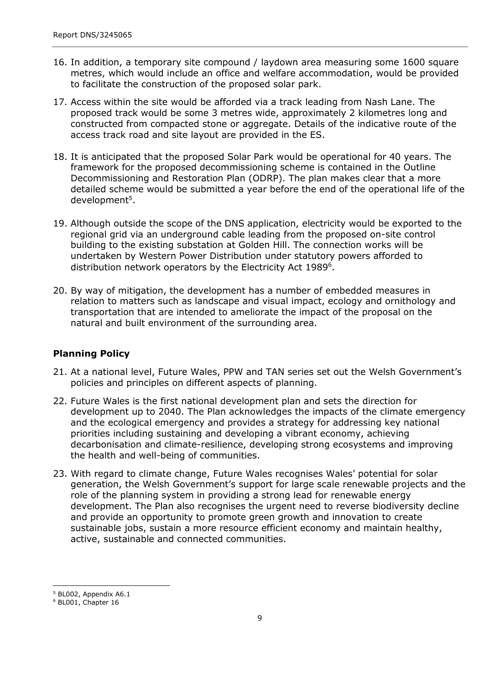- 16. In addition, a temporary site compound / laydown area measuring some 1600 square metres, which would include an office and welfare accommodation, would be provided to facilitate the construction of the proposed solar park.
- 17. Access within the site would be afforded via a track leading from Nash Lane. The proposed track would be some 3 metres wide, approximately 2 kilometres long and constructed from compacted stone or aggregate. Details of the indicative route of the access track road and site layout are provided in the ES.
- 18. It is anticipated that the proposed Solar Park would be operational for 40 years. The framework for the proposed decommissioning scheme is contained in the Outline Decommissioning and Restoration Plan (ODRP). The plan makes clear that a more detailed scheme would be submitted a year before the end of the operational life of the development<sup>5</sup>.
- 19. Although outside the scope of the DNS application, electricity would be exported to the regional grid via an underground cable leading from the proposed on-site control building to the existing substation at Golden Hill. The connection works will be undertaken by Western Power Distribution under statutory powers afforded to distribution network operators by the Electricity Act 1989<sup>6</sup>.
- 20. By way of mitigation, the development has a number of embedded measures in relation to matters such as landscape and visual impact, ecology and ornithology and transportation that are intended to ameliorate the impact of the proposal on the natural and built environment of the surrounding area.

## **Planning Policy**

- 21. At a national level, Future Wales, PPW and TAN series set out the Welsh Government's policies and principles on different aspects of planning.
- 22. Future Wales is the first national development plan and sets the direction for development up to 2040. The Plan acknowledges the impacts of the climate emergency and the ecological emergency and provides a strategy for addressing key national priorities including sustaining and developing a vibrant economy, achieving decarbonisation and climate-resilience, developing strong ecosystems and improving the health and well-being of communities.
- 23. With regard to climate change, Future Wales recognises Wales' potential for solar generation, the Welsh Government's support for large scale renewable projects and the role of the planning system in providing a strong lead for renewable energy development. The Plan also recognises the urgent need to reverse biodiversity decline and provide an opportunity to promote green growth and innovation to create sustainable jobs, sustain a more resource efficient economy and maintain healthy, active, sustainable and connected communities.

<sup>5</sup> BL002, Appendix A6.1

<sup>6</sup> BL001, Chapter 16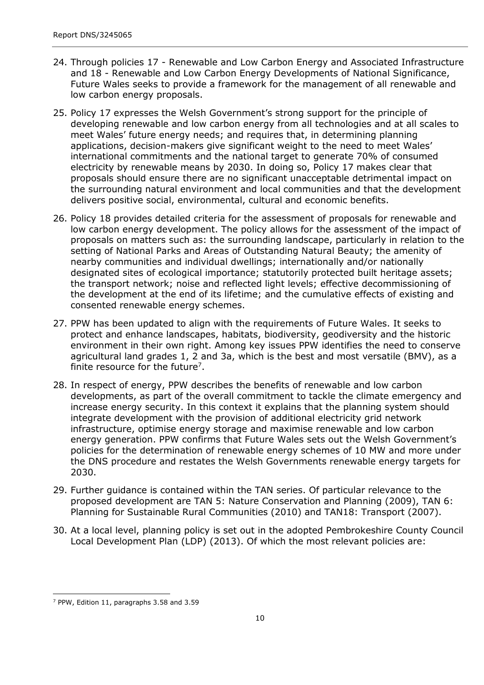- 24. Through policies 17 Renewable and Low Carbon Energy and Associated Infrastructure and 18 - Renewable and Low Carbon Energy Developments of National Significance, Future Wales seeks to provide a framework for the management of all renewable and low carbon energy proposals.
- 25. Policy 17 expresses the Welsh Government's strong support for the principle of developing renewable and low carbon energy from all technologies and at all scales to meet Wales' future energy needs; and requires that, in determining planning applications, decision-makers give significant weight to the need to meet Wales' international commitments and the national target to generate 70% of consumed electricity by renewable means by 2030. In doing so, Policy 17 makes clear that proposals should ensure there are no significant unacceptable detrimental impact on the surrounding natural environment and local communities and that the development delivers positive social, environmental, cultural and economic benefits.
- 26. Policy 18 provides detailed criteria for the assessment of proposals for renewable and low carbon energy development. The policy allows for the assessment of the impact of proposals on matters such as: the surrounding landscape, particularly in relation to the setting of National Parks and Areas of Outstanding Natural Beauty; the amenity of nearby communities and individual dwellings; internationally and/or nationally designated sites of ecological importance; statutorily protected built heritage assets; the transport network; noise and reflected light levels; effective decommissioning of the development at the end of its lifetime; and the cumulative effects of existing and consented renewable energy schemes.
- 27. PPW has been updated to align with the requirements of Future Wales. It seeks to protect and enhance landscapes, habitats, biodiversity, geodiversity and the historic environment in their own right. Among key issues PPW identifies the need to conserve agricultural land grades 1, 2 and 3a, which is the best and most versatile (BMV), as a finite resource for the future<sup>7</sup>.
- 28. In respect of energy, PPW describes the benefits of renewable and low carbon developments, as part of the overall commitment to tackle the climate emergency and increase energy security. In this context it explains that the planning system should integrate development with the provision of additional electricity grid network infrastructure, optimise energy storage and maximise renewable and low carbon energy generation. PPW confirms that Future Wales sets out the Welsh Government's policies for the determination of renewable energy schemes of 10 MW and more under the DNS procedure and restates the Welsh Governments renewable energy targets for 2030.
- 29. Further guidance is contained within the TAN series. Of particular relevance to the proposed development are TAN 5: Nature Conservation and Planning (2009), TAN 6: Planning for Sustainable Rural Communities (2010) and TAN18: Transport (2007).
- 30. At a local level, planning policy is set out in the adopted Pembrokeshire County Council Local Development Plan (LDP) (2013). Of which the most relevant policies are:

<sup>7</sup> PPW, Edition 11, paragraphs 3.58 and 3.59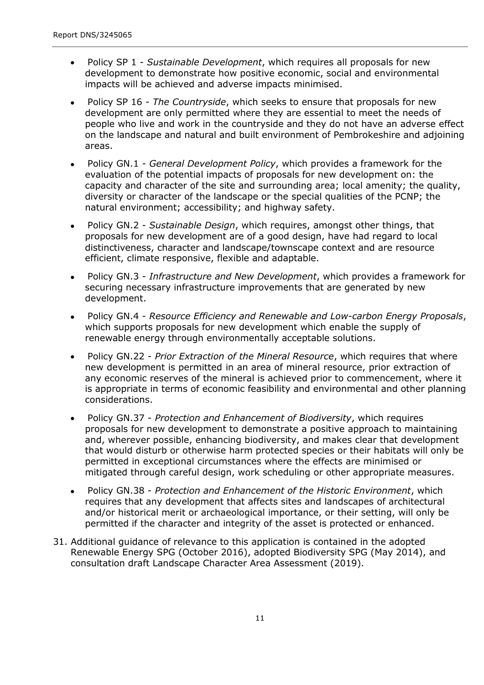- Policy SP 1 *Sustainable Development*, which requires all proposals for new development to demonstrate how positive economic, social and environmental impacts will be achieved and adverse impacts minimised.
- Policy SP 16 *The Countryside*, which seeks to ensure that proposals for new development are only permitted where they are essential to meet the needs of people who live and work in the countryside and they do not have an adverse effect on the landscape and natural and built environment of Pembrokeshire and adjoining areas.  $\bullet$
- Policy GN.1 *- General Development Policy*, which provides a framework for the evaluation of the potential impacts of proposals for new development on: the capacity and character of the site and surrounding area; local amenity; the quality, diversity or character of the landscape or the special qualities of the PCNP; the natural environment; accessibility; and highway safety.  $\bullet$
- Policy GN.2 *Sustainable Design*, which requires, amongst other things, that proposals for new development are of a good design, have had regard to local distinctiveness, character and landscape/townscape context and are resource efficient, climate responsive, flexible and adaptable.  $\bullet$
- Policy GN.3 *Infrastructure and New Development*, which provides a framework for securing necessary infrastructure improvements that are generated by new development.  $\bullet$
- Policy GN.4 *Resource Efficiency and Renewable and Low-carbon Energy Proposals*, which supports proposals for new development which enable the supply of renewable energy through environmentally acceptable solutions.  $\bullet$
- Policy GN.22 *Prior Extraction of the Mineral Resource*, which requires that where new development is permitted in an area of mineral resource, prior extraction of any economic reserves of the mineral is achieved prior to commencement, where it is appropriate in terms of economic feasibility and environmental and other planning considerations.  $\bullet$
- Policy GN.37 *Protection and Enhancement of Biodiversity*, which requires proposals for new development to demonstrate a positive approach to maintaining and, wherever possible, enhancing biodiversity, and makes clear that development that would disturb or otherwise harm protected species or their habitats will only be permitted in exceptional circumstances where the effects are minimised or mitigated through careful design, work scheduling or other appropriate measures.  $\bullet$
- Policy GN.38 *Protection and Enhancement of the Historic Environment*, which requires that any development that affects sites and landscapes of architectural and/or historical merit or archaeological importance, or their setting, will only be permitted if the character and integrity of the asset is protected or enhanced.  $\bullet$
- 31. Additional guidance of relevance to this application is contained in the adopted Renewable Energy SPG (October 2016), adopted Biodiversity SPG (May 2014), and consultation draft Landscape Character Area Assessment (2019).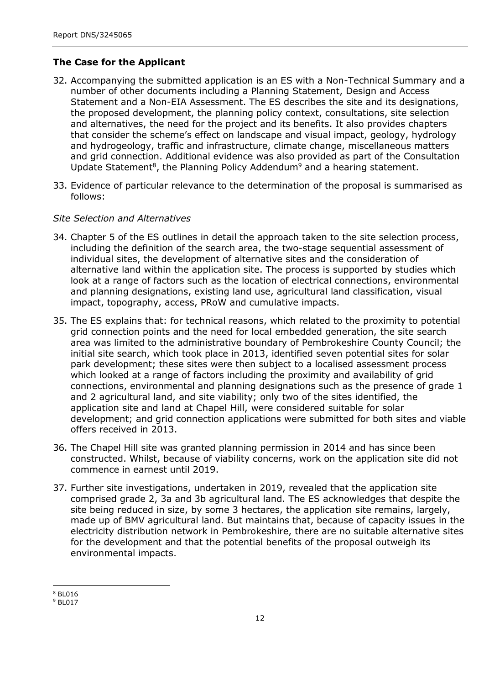### **The Case for the Applicant**

- 32. Accompanying the submitted application is an ES with a Non-Technical Summary and a number of other documents including a Planning Statement, Design and Access Statement and a Non-EIA Assessment. The ES describes the site and its designations, the proposed development, the planning policy context, consultations, site selection and alternatives, the need for the project and its benefits. It also provides chapters that consider the scheme's effect on landscape and visual impact, geology, hydrology and hydrogeology, traffic and infrastructure, climate change, miscellaneous matters and grid connection. Additional evidence was also provided as part of the Consultation Update Statement<sup>8</sup>, the Planning Policy Addendum<sup>9</sup> and a hearing statement.
- 33. Evidence of particular relevance to the determination of the proposal is summarised as follows:

#### *Site Selection and Alternatives*

- 34. Chapter 5 of the ES outlines in detail the approach taken to the site selection process, including the definition of the search area, the two-stage sequential assessment of individual sites, the development of alternative sites and the consideration of alternative land within the application site. The process is supported by studies which look at a range of factors such as the location of electrical connections, environmental and planning designations, existing land use, agricultural land classification, visual impact, topography, access, PRoW and cumulative impacts.
- 35. The ES explains that: for technical reasons, which related to the proximity to potential grid connection points and the need for local embedded generation, the site search area was limited to the administrative boundary of Pembrokeshire County Council; the initial site search, which took place in 2013, identified seven potential sites for solar park development; these sites were then subject to a localised assessment process which looked at a range of factors including the proximity and availability of grid connections, environmental and planning designations such as the presence of grade 1 and 2 agricultural land, and site viability; only two of the sites identified, the application site and land at Chapel Hill, were considered suitable for solar development; and grid connection applications were submitted for both sites and viable offers received in 2013.
- 36. The Chapel Hill site was granted planning permission in 2014 and has since been constructed. Whilst, because of viability concerns, work on the application site did not commence in earnest until 2019.
- 37. Further site investigations, undertaken in 2019, revealed that the application site comprised grade 2, 3a and 3b agricultural land. The ES acknowledges that despite the site being reduced in size, by some 3 hectares, the application site remains, largely, made up of BMV agricultural land. But maintains that, because of capacity issues in the electricity distribution network in Pembrokeshire, there are no suitable alternative sites for the development and that the potential benefits of the proposal outweigh its environmental impacts.

<sup>8</sup> BL016

<sup>9</sup> BL017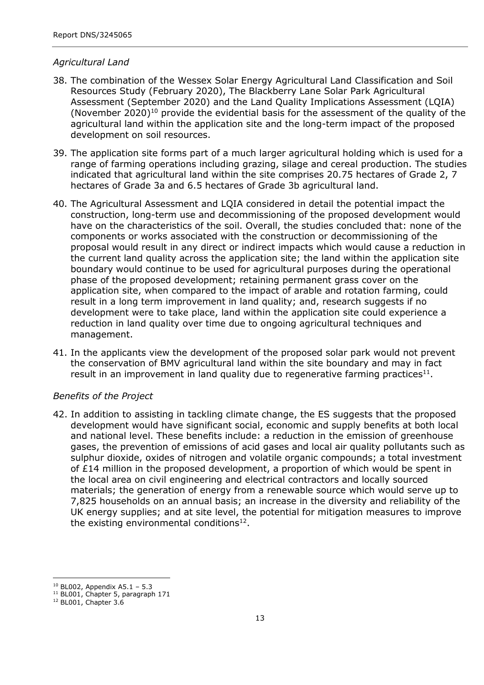#### *Agricultural Land*

- 38. The combination of the Wessex Solar Energy Agricultural Land Classification and Soil Resources Study (February 2020), The Blackberry Lane Solar Park Agricultural Assessment (September 2020) and the Land Quality Implications Assessment (LQIA) (November 2020)<sup>10</sup> provide the evidential basis for the assessment of the quality of the agricultural land within the application site and the long-term impact of the proposed development on soil resources.
- 39. The application site forms part of a much larger agricultural holding which is used for a range of farming operations including grazing, silage and cereal production. The studies indicated that agricultural land within the site comprises 20.75 hectares of Grade 2, 7 hectares of Grade 3a and 6.5 hectares of Grade 3b agricultural land.
- 40. The Agricultural Assessment and LQIA considered in detail the potential impact the construction, long-term use and decommissioning of the proposed development would have on the characteristics of the soil. Overall, the studies concluded that: none of the components or works associated with the construction or decommissioning of the proposal would result in any direct or indirect impacts which would cause a reduction in the current land quality across the application site; the land within the application site boundary would continue to be used for agricultural purposes during the operational phase of the proposed development; retaining permanent grass cover on the application site, when compared to the impact of arable and rotation farming, could result in a long term improvement in land quality; and, research suggests if no development were to take place, land within the application site could experience a reduction in land quality over time due to ongoing agricultural techniques and management.
- 41. In the applicants view the development of the proposed solar park would not prevent the conservation of BMV agricultural land within the site boundary and may in fact result in an improvement in land quality due to regenerative farming practices $^{11}$ .

#### *Benefits of the Project*

42. In addition to assisting in tackling climate change, the ES suggests that the proposed development would have significant social, economic and supply benefits at both local and national level. These benefits include: a reduction in the emission of greenhouse gases, the prevention of emissions of acid gases and local air quality pollutants such as sulphur dioxide, oxides of nitrogen and volatile organic compounds; a total investment of £14 million in the proposed development, a proportion of which would be spent in the local area on civil engineering and electrical contractors and locally sourced materials; the generation of energy from a renewable source which would serve up to 7,825 households on an annual basis; an increase in the diversity and reliability of the UK energy supplies; and at site level, the potential for mitigation measures to improve the existing environmental conditions<sup>12</sup>.

 $10$  BL002, Appendix A5.1 – 5.3

<sup>&</sup>lt;sup>11</sup> BL001, Chapter 5, paragraph 171

<sup>12</sup> BL001, Chapter 3.6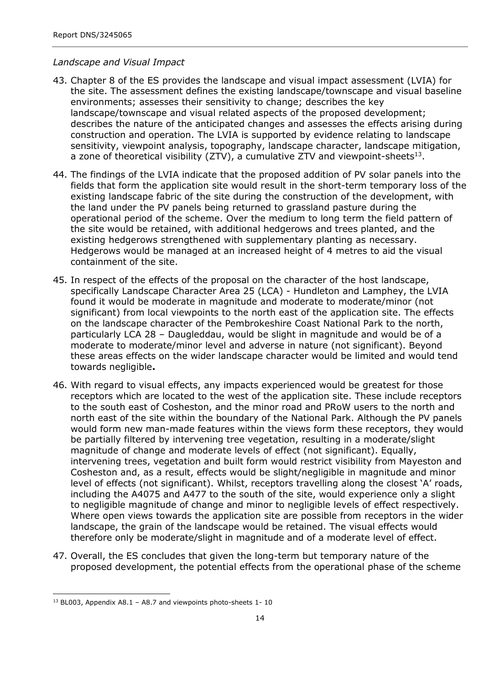#### *Landscape and Visual Impact*

- 43. Chapter 8 of the ES provides the landscape and visual impact assessment (LVIA) for the site. The assessment defines the existing landscape/townscape and visual baseline environments; assesses their sensitivity to change; describes the key landscape/townscape and visual related aspects of the proposed development; describes the nature of the anticipated changes and assesses the effects arising during construction and operation. The LVIA is supported by evidence relating to landscape sensitivity, viewpoint analysis, topography, landscape character, landscape mitigation, a zone of theoretical visibility (ZTV), a cumulative ZTV and viewpoint-sheets $^{13}$ .
- 44. The findings of the LVIA indicate that the proposed addition of PV solar panels into the fields that form the application site would result in the short-term temporary loss of the existing landscape fabric of the site during the construction of the development, with the land under the PV panels being returned to grassland pasture during the operational period of the scheme. Over the medium to long term the field pattern of the site would be retained, with additional hedgerows and trees planted, and the existing hedgerows strengthened with supplementary planting as necessary. Hedgerows would be managed at an increased height of 4 metres to aid the visual containment of the site.
- 45. In respect of the effects of the proposal on the character of the host landscape, specifically Landscape Character Area 25 (LCA) - Hundleton and Lamphey, the LVIA found it would be moderate in magnitude and moderate to moderate/minor (not significant) from local viewpoints to the north east of the application site. The effects on the landscape character of the Pembrokeshire Coast National Park to the north, particularly LCA 28 – Daugleddau, would be slight in magnitude and would be of a moderate to moderate/minor level and adverse in nature (not significant). Beyond these areas effects on the wider landscape character would be limited and would tend towards negligible**.**
- 46. With regard to visual effects, any impacts experienced would be greatest for those receptors which are located to the west of the application site. These include receptors to the south east of Cosheston, and the minor road and PRoW users to the north and north east of the site within the boundary of the National Park. Although the PV panels would form new man-made features within the views form these receptors, they would be partially filtered by intervening tree vegetation, resulting in a moderate/slight magnitude of change and moderate levels of effect (not significant). Equally, intervening trees, vegetation and built form would restrict visibility from Mayeston and Cosheston and, as a result, effects would be slight/negligible in magnitude and minor level of effects (not significant). Whilst, receptors travelling along the closest 'A' roads, including the A4075 and A477 to the south of the site, would experience only a slight to negligible magnitude of change and minor to negligible levels of effect respectively. Where open views towards the application site are possible from receptors in the wider landscape, the grain of the landscape would be retained. The visual effects would therefore only be moderate/slight in magnitude and of a moderate level of effect.
- 47. Overall, the ES concludes that given the long-term but temporary nature of the proposed development, the potential effects from the operational phase of the scheme

 $13$  BL003, Appendix A8.1 - A8.7 and viewpoints photo-sheets 1-10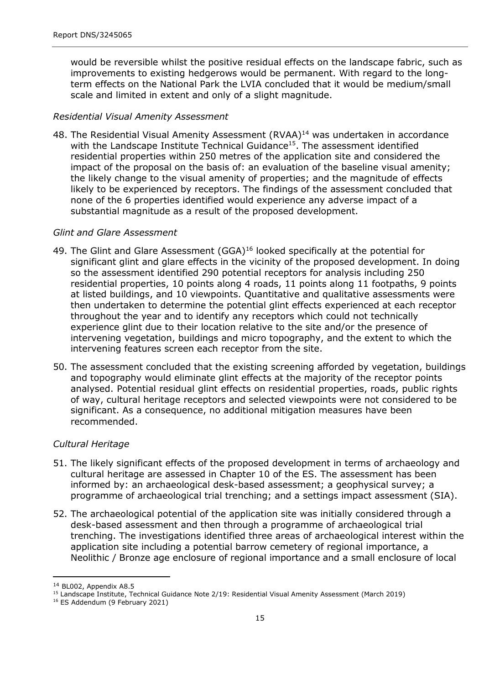would be reversible whilst the positive residual effects on the landscape fabric, such as improvements to existing hedgerows would be permanent. With regard to the longterm effects on the National Park the LVIA concluded that it would be medium/small scale and limited in extent and only of a slight magnitude.

#### *Residential Visual Amenity Assessment*

48. The Residential Visual Amenity Assessment (RVAA)<sup>14</sup> was undertaken in accordance with the Landscape Institute Technical Guidance<sup>15</sup>. The assessment identified residential properties within 250 metres of the application site and considered the impact of the proposal on the basis of: an evaluation of the baseline visual amenity; the likely change to the visual amenity of properties; and the magnitude of effects likely to be experienced by receptors. The findings of the assessment concluded that none of the 6 properties identified would experience any adverse impact of a substantial magnitude as a result of the proposed development.

#### *Glint and Glare Assessment*

- 49. The Glint and Glare Assessment (GGA)<sup>16</sup> looked specifically at the potential for significant glint and glare effects in the vicinity of the proposed development. In doing so the assessment identified 290 potential receptors for analysis including 250 residential properties, 10 points along 4 roads, 11 points along 11 footpaths, 9 points at listed buildings, and 10 viewpoints. Quantitative and qualitative assessments were then undertaken to determine the potential glint effects experienced at each receptor throughout the year and to identify any receptors which could not technically experience glint due to their location relative to the site and/or the presence of intervening vegetation, buildings and micro topography, and the extent to which the intervening features screen each receptor from the site.
- 50. The assessment concluded that the existing screening afforded by vegetation, buildings and topography would eliminate glint effects at the majority of the receptor points analysed. Potential residual glint effects on residential properties, roads, public rights of way, cultural heritage receptors and selected viewpoints were not considered to be significant. As a consequence, no additional mitigation measures have been recommended.

#### *Cultural Heritage*

- 51. The likely significant effects of the proposed development in terms of archaeology and cultural heritage are assessed in Chapter 10 of the ES. The assessment has been informed by: an archaeological desk-based assessment; a geophysical survey; a programme of archaeological trial trenching; and a settings impact assessment (SIA).
- 52. The archaeological potential of the application site was initially considered through a desk-based assessment and then through a programme of archaeological trial trenching. The investigations identified three areas of archaeological interest within the application site including a potential barrow cemetery of regional importance, a Neolithic / Bronze age enclosure of regional importance and a small enclosure of local

<sup>14</sup> BL002, Appendix A8.5

<sup>15</sup> Landscape Institute, Technical Guidance Note 2/19: Residential Visual Amenity Assessment (March 2019)

<sup>16</sup> ES Addendum (9 February 2021)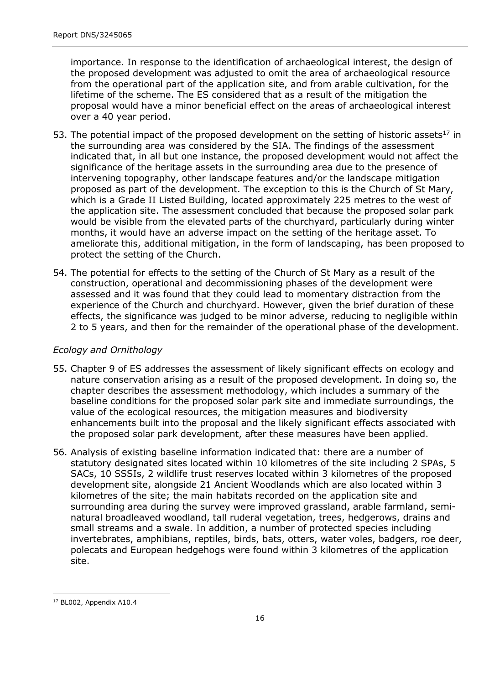importance. In response to the identification of archaeological interest, the design of the proposed development was adjusted to omit the area of archaeological resource from the operational part of the application site, and from arable cultivation, for the lifetime of the scheme. The ES considered that as a result of the mitigation the proposal would have a minor beneficial effect on the areas of archaeological interest over a 40 year period.

- 53. The potential impact of the proposed development on the setting of historic assets<sup>17</sup> in the surrounding area was considered by the SIA. The findings of the assessment indicated that, in all but one instance, the proposed development would not affect the significance of the heritage assets in the surrounding area due to the presence of intervening topography, other landscape features and/or the landscape mitigation proposed as part of the development. The exception to this is the Church of St Mary, which is a Grade II Listed Building, located approximately 225 metres to the west of the application site. The assessment concluded that because the proposed solar park would be visible from the elevated parts of the churchyard, particularly during winter months, it would have an adverse impact on the setting of the heritage asset. To ameliorate this, additional mitigation, in the form of landscaping, has been proposed to protect the setting of the Church.
- 54. The potential for effects to the setting of the Church of St Mary as a result of the construction, operational and decommissioning phases of the development were assessed and it was found that they could lead to momentary distraction from the experience of the Church and churchyard. However, given the brief duration of these effects, the significance was judged to be minor adverse, reducing to negligible within 2 to 5 years, and then for the remainder of the operational phase of the development.

#### *Ecology and Ornithology*

- 55. Chapter 9 of ES addresses the assessment of likely significant effects on ecology and nature conservation arising as a result of the proposed development. In doing so, the chapter describes the assessment methodology, which includes a summary of the baseline conditions for the proposed solar park site and immediate surroundings, the value of the ecological resources, the mitigation measures and biodiversity enhancements built into the proposal and the likely significant effects associated with the proposed solar park development, after these measures have been applied.
- 56. Analysis of existing baseline information indicated that: there are a number of statutory designated sites located within 10 kilometres of the site including 2 SPAs, 5 SACs, 10 SSSIs, 2 wildlife trust reserves located within 3 kilometres of the proposed development site, alongside 21 Ancient Woodlands which are also located within 3 kilometres of the site; the main habitats recorded on the application site and surrounding area during the survey were improved grassland, arable farmland, seminatural broadleaved woodland, tall ruderal vegetation, trees, hedgerows, drains and small streams and a swale. In addition, a number of protected species including invertebrates, amphibians, reptiles, birds, bats, otters, water voles, badgers, roe deer, polecats and European hedgehogs were found within 3 kilometres of the application site.

<sup>17</sup> BL002, Appendix A10.4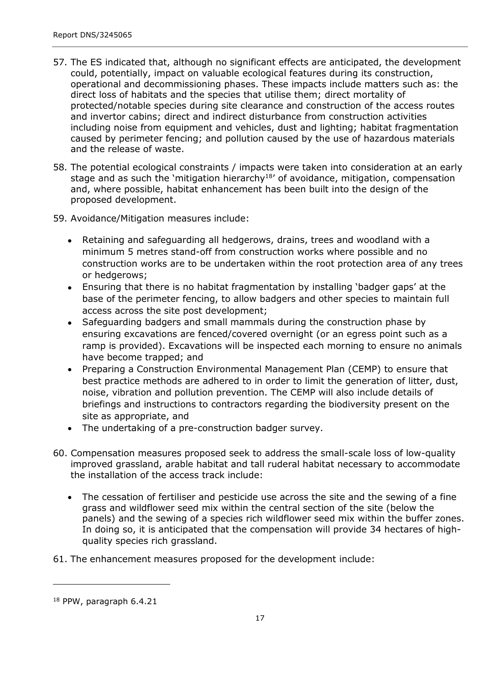- 57. The ES indicated that, although no significant effects are anticipated, the development could, potentially, impact on valuable ecological features during its construction, operational and decommissioning phases. These impacts include matters such as: the direct loss of habitats and the species that utilise them; direct mortality of protected/notable species during site clearance and construction of the access routes and invertor cabins; direct and indirect disturbance from construction activities including noise from equipment and vehicles, dust and lighting; habitat fragmentation caused by perimeter fencing; and pollution caused by the use of hazardous materials and the release of waste.
- 58. The potential ecological constraints / impacts were taken into consideration at an early stage and as such the 'mitigation hierarchy<sup>18'</sup> of avoidance, mitigation, compensation and, where possible, habitat enhancement has been built into the design of the proposed development.
- 59. Avoidance/Mitigation measures include:
	- Retaining and safeguarding all hedgerows, drains, trees and woodland with a minimum 5 metres stand-off from construction works where possible and no construction works are to be undertaken within the root protection area of any trees or hedgerows;
	- Ensuring that there is no habitat fragmentation by installing 'badger gaps' at the base of the perimeter fencing, to allow badgers and other species to maintain full access across the site post development;
	- Safeguarding badgers and small mammals during the construction phase by ensuring excavations are fenced/covered overnight (or an egress point such as a ramp is provided). Excavations will be inspected each morning to ensure no animals have become trapped; and  $\bullet$
	- Preparing a Construction Environmental Management Plan (CEMP) to ensure that best practice methods are adhered to in order to limit the generation of litter, dust, noise, vibration and pollution prevention. The CEMP will also include details of briefings and instructions to contractors regarding the biodiversity present on the site as appropriate, and
	- The undertaking of a pre-construction badger survey.
- 60. Compensation measures proposed seek to address the small-scale loss of low-quality improved grassland, arable habitat and tall ruderal habitat necessary to accommodate the installation of the access track include:
	- The cessation of fertiliser and pesticide use across the site and the sewing of a fine grass and wildflower seed mix within the central section of the site (below the panels) and the sewing of a species rich wildflower seed mix within the buffer zones. In doing so, it is anticipated that the compensation will provide 34 hectares of highquality species rich grassland.
- 61. The enhancement measures proposed for the development include:

<sup>18</sup> PPW, paragraph 6.4.21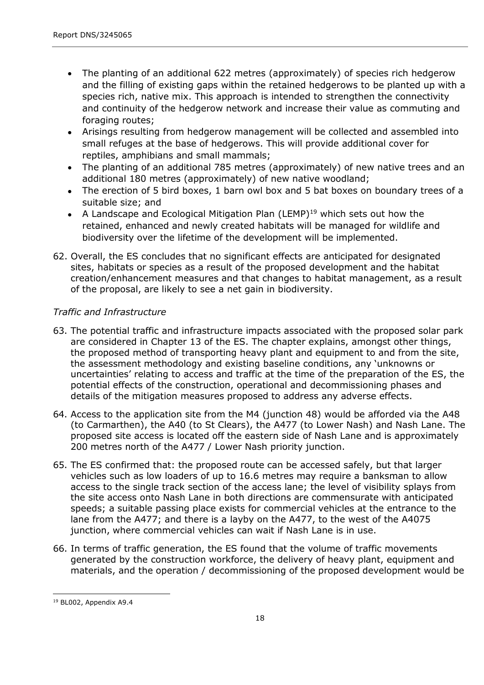- The planting of an additional 622 metres (approximately) of species rich hedgerow and the filling of existing gaps within the retained hedgerows to be planted up with a species rich, native mix. This approach is intended to strengthen the connectivity and continuity of the hedgerow network and increase their value as commuting and foraging routes;
- Arisings resulting from hedgerow management will be collected and assembled into small refuges at the base of hedgerows. This will provide additional cover for reptiles, amphibians and small mammals;
- The planting of an additional 785 metres (approximately) of new native trees and an additional 180 metres (approximately) of new native woodland;  $\bullet$
- The erection of 5 bird boxes, 1 barn owl box and 5 bat boxes on boundary trees of a suitable size; and
- A Landscape and Ecological Mitigation Plan (LEMP)<sup>19</sup> which sets out how the retained, enhanced and newly created habitats will be managed for wildlife and biodiversity over the lifetime of the development will be implemented.
- 62. Overall, the ES concludes that no significant effects are anticipated for designated sites, habitats or species as a result of the proposed development and the habitat creation/enhancement measures and that changes to habitat management, as a result of the proposal, are likely to see a net gain in biodiversity.

### *Traffic and Infrastructure*

- 63. The potential traffic and infrastructure impacts associated with the proposed solar park are considered in Chapter 13 of the ES. The chapter explains, amongst other things, the proposed method of transporting heavy plant and equipment to and from the site, the assessment methodology and existing baseline conditions, any 'unknowns or uncertainties' relating to access and traffic at the time of the preparation of the ES, the potential effects of the construction, operational and decommissioning phases and details of the mitigation measures proposed to address any adverse effects.
- 64. Access to the application site from the M4 (junction 48) would be afforded via the A48 (to Carmarthen), the A40 (to St Clears), the A477 (to Lower Nash) and Nash Lane. The proposed site access is located off the eastern side of Nash Lane and is approximately 200 metres north of the A477 / Lower Nash priority junction.
- 65. The ES confirmed that: the proposed route can be accessed safely, but that larger vehicles such as low loaders of up to 16.6 metres may require a banksman to allow access to the single track section of the access lane; the level of visibility splays from the site access onto Nash Lane in both directions are commensurate with anticipated speeds; a suitable passing place exists for commercial vehicles at the entrance to the lane from the A477; and there is a layby on the A477, to the west of the A4075 junction, where commercial vehicles can wait if Nash Lane is in use.
- 66. In terms of traffic generation, the ES found that the volume of traffic movements generated by the construction workforce, the delivery of heavy plant, equipment and materials, and the operation / decommissioning of the proposed development would be

<sup>&</sup>lt;sup>19</sup> BL002, Appendix A9.4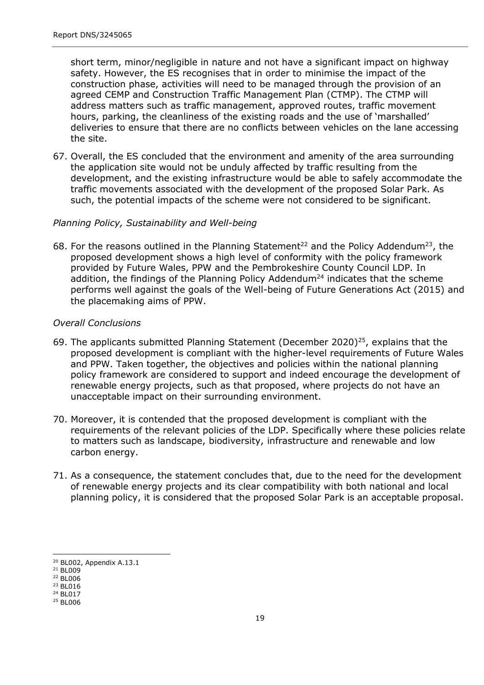short term, minor/negligible in nature and not have a significant impact on highway safety. However, the ES recognises that in order to minimise the impact of the construction phase, activities will need to be managed through the provision of an agreed CEMP and Construction Traffic Management Plan (CTMP). The CTMP will address matters such as traffic management, approved routes, traffic movement hours, parking, the cleanliness of the existing roads and the use of 'marshalled' deliveries to ensure that there are no conflicts between vehicles on the lane accessing the site.

67. Overall, the ES concluded that the environment and amenity of the area surrounding the application site would not be unduly affected by traffic resulting from the development, and the existing infrastructure would be able to safely accommodate the traffic movements associated with the development of the proposed Solar Park. As such, the potential impacts of the scheme were not considered to be significant.

#### *Planning Policy, Sustainability and Well-being*

68. For the reasons outlined in the Planning Statement<sup>22</sup> and the Policy Addendum<sup>23</sup>, the proposed development shows a high level of conformity with the policy framework provided by Future Wales, PPW and the Pembrokeshire County Council LDP. In addition, the findings of the Planning Policy Addendum<sup>24</sup> indicates that the scheme performs well against the goals of the Well-being of Future Generations Act (2015) and the placemaking aims of PPW.

#### *Overall Conclusions*

- 69. The applicants submitted Planning Statement (December 2020)<sup>25</sup>, explains that the proposed development is compliant with the higher-level requirements of Future Wales and PPW. Taken together, the objectives and policies within the national planning policy framework are considered to support and indeed encourage the development of renewable energy projects, such as that proposed, where projects do not have an unacceptable impact on their surrounding environment.
- 70. Moreover, it is contended that the proposed development is compliant with the requirements of the relevant policies of the LDP. Specifically where these policies relate to matters such as landscape, biodiversity, infrastructure and renewable and low carbon energy.
- 71. As a consequence, the statement concludes that, due to the need for the development of renewable energy projects and its clear compatibility with both national and local planning policy, it is considered that the proposed Solar Park is an acceptable proposal.

<sup>20</sup> BL002, Appendix A.13.1

<sup>21</sup> BL009

<sup>22</sup> BL006 <sup>23</sup> BL016

<sup>24</sup> BL017

<sup>25</sup> BL006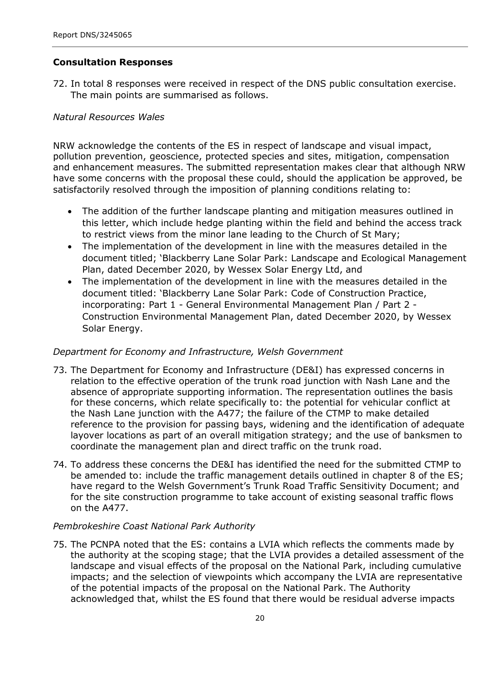#### **Consultation Responses**

72. In total 8 responses were received in respect of the DNS public consultation exercise. The main points are summarised as follows.

#### *Natural Resources Wales*

NRW acknowledge the contents of the ES in respect of landscape and visual impact, pollution prevention, geoscience, protected species and sites, mitigation, compensation and enhancement measures. The submitted representation makes clear that although NRW have some concerns with the proposal these could, should the application be approved, be satisfactorily resolved through the imposition of planning conditions relating to:

- The addition of the further landscape planting and mitigation measures outlined in this letter, which include hedge planting within the field and behind the access track to restrict views from the minor lane leading to the Church of St Mary;
- The implementation of the development in line with the measures detailed in the document titled; 'Blackberry Lane Solar Park: Landscape and Ecological Management Plan, dated December 2020, by Wessex Solar Energy Ltd, and  $\bullet$
- The implementation of the development in line with the measures detailed in the document titled: 'Blackberry Lane Solar Park: Code of Construction Practice, incorporating: Part 1 - General Environmental Management Plan / Part 2 - Construction Environmental Management Plan, dated December 2020, by Wessex Solar Energy.  $\bullet$

#### *Department for Economy and Infrastructure, Welsh Government*

- 73. The Department for Economy and Infrastructure (DE&I) has expressed concerns in relation to the effective operation of the trunk road junction with Nash Lane and the absence of appropriate supporting information. The representation outlines the basis for these concerns, which relate specifically to: the potential for vehicular conflict at the Nash Lane junction with the A477; the failure of the CTMP to make detailed reference to the provision for passing bays, widening and the identification of adequate layover locations as part of an overall mitigation strategy; and the use of banksmen to coordinate the management plan and direct traffic on the trunk road.
- 74. To address these concerns the DE&I has identified the need for the submitted CTMP to be amended to: include the traffic management details outlined in chapter 8 of the ES; have regard to the Welsh Government's Trunk Road Traffic Sensitivity Document; and for the site construction programme to take account of existing seasonal traffic flows on the A477.

#### *Pembrokeshire Coast National Park Authority*

75. The PCNPA noted that the ES: contains a LVIA which reflects the comments made by the authority at the scoping stage; that the LVIA provides a detailed assessment of the landscape and visual effects of the proposal on the National Park, including cumulative impacts; and the selection of viewpoints which accompany the LVIA are representative of the potential impacts of the proposal on the National Park. The Authority acknowledged that, whilst the ES found that there would be residual adverse impacts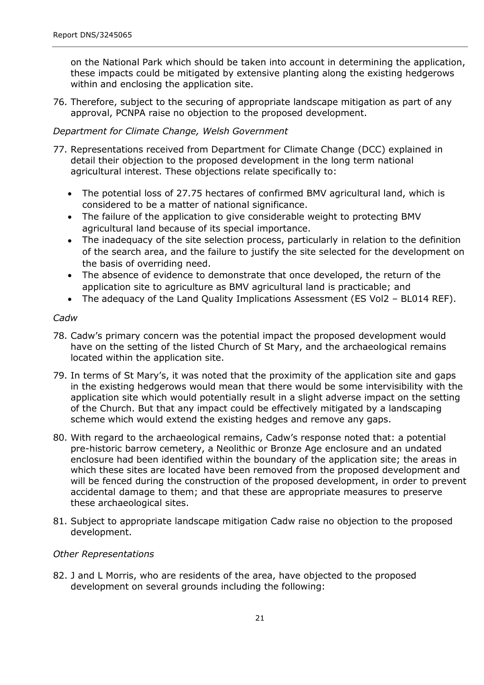on the National Park which should be taken into account in determining the application, these impacts could be mitigated by extensive planting along the existing hedgerows within and enclosing the application site.

76. Therefore, subject to the securing of appropriate landscape mitigation as part of any approval, PCNPA raise no objection to the proposed development.

#### *Department for Climate Change, Welsh Government*

- 77. Representations received from Department for Climate Change (DCC) explained in detail their objection to the proposed development in the long term national agricultural interest. These objections relate specifically to:
	- The potential loss of 27.75 hectares of confirmed BMV agricultural land, which is considered to be a matter of national significance.
	- The failure of the application to give considerable weight to protecting BMV agricultural land because of its special importance.
	- The inadequacy of the site selection process, particularly in relation to the definition of the search area, and the failure to justify the site selected for the development on the basis of overriding need.  $\bullet$
	- The absence of evidence to demonstrate that once developed, the return of the application site to agriculture as BMV agricultural land is practicable; and  $\bullet$
	- The adequacy of the Land Quality Implications Assessment (ES Vol2 BL014 REF).  $\bullet$

#### *Cadw*

- 78. Cadw's primary concern was the potential impact the proposed development would have on the setting of the listed Church of St Mary, and the archaeological remains located within the application site.
- 79. In terms of St Mary's, it was noted that the proximity of the application site and gaps in the existing hedgerows would mean that there would be some intervisibility with the application site which would potentially result in a slight adverse impact on the setting of the Church. But that any impact could be effectively mitigated by a landscaping scheme which would extend the existing hedges and remove any gaps.
- 80. With regard to the archaeological remains, Cadw's response noted that: a potential pre-historic barrow cemetery, a Neolithic or Bronze Age enclosure and an undated enclosure had been identified within the boundary of the application site; the areas in which these sites are located have been removed from the proposed development and will be fenced during the construction of the proposed development, in order to prevent accidental damage to them; and that these are appropriate measures to preserve these archaeological sites.
- 81. Subject to appropriate landscape mitigation Cadw raise no objection to the proposed development.

#### *Other Representations*

82. J and L Morris, who are residents of the area, have objected to the proposed development on several grounds including the following: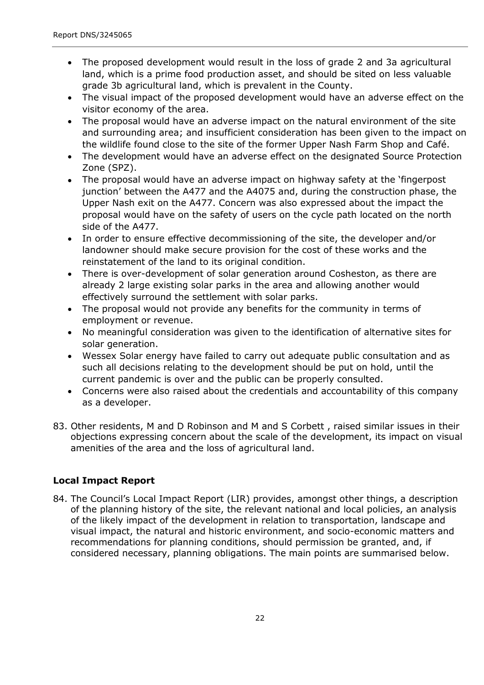- The proposed development would result in the loss of grade 2 and 3a agricultural land, which is a prime food production asset, and should be sited on less valuable grade 3b agricultural land, which is prevalent in the County.
- The visual impact of the proposed development would have an adverse effect on the visitor economy of the area.  $\bullet$
- The proposal would have an adverse impact on the natural environment of the site and surrounding area; and insufficient consideration has been given to the impact on the wildlife found close to the site of the former Upper Nash Farm Shop and Café.  $\bullet$
- The development would have an adverse effect on the designated Source Protection Zone (SPZ).  $\bullet$
- The proposal would have an adverse impact on highway safety at the 'fingerpost junction' between the A477 and the A4075 and, during the construction phase, the Upper Nash exit on the A477. Concern was also expressed about the impact the proposal would have on the safety of users on the cycle path located on the north side of the A477.  $\bullet$
- In order to ensure effective decommissioning of the site, the developer and/or landowner should make secure provision for the cost of these works and the reinstatement of the land to its original condition.  $\bullet$
- There is over-development of solar generation around Cosheston, as there are already 2 large existing solar parks in the area and allowing another would effectively surround the settlement with solar parks.  $\bullet$
- The proposal would not provide any benefits for the community in terms of employment or revenue.  $\bullet$
- No meaningful consideration was given to the identification of alternative sites for solar generation.
- Wessex Solar energy have failed to carry out adequate public consultation and as such all decisions relating to the development should be put on hold, until the current pandemic is over and the public can be properly consulted.  $\bullet$
- Concerns were also raised about the credentials and accountability of this company as a developer.  $\bullet$
- 83. Other residents, M and D Robinson and M and S Corbett , raised similar issues in their objections expressing concern about the scale of the development, its impact on visual amenities of the area and the loss of agricultural land.

## **Local Impact Report**

84. The Council's Local Impact Report (LIR) provides, amongst other things, a description of the planning history of the site, the relevant national and local policies, an analysis of the likely impact of the development in relation to transportation, landscape and visual impact, the natural and historic environment, and socio-economic matters and recommendations for planning conditions, should permission be granted, and, if considered necessary, planning obligations. The main points are summarised below.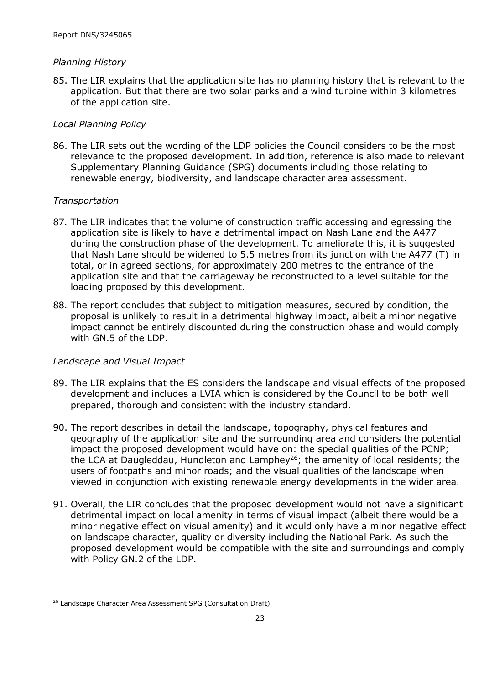#### *Planning History*

85. The LIR explains that the application site has no planning history that is relevant to the application. But that there are two solar parks and a wind turbine within 3 kilometres of the application site.

#### *Local Planning Policy*

86. The LIR sets out the wording of the LDP policies the Council considers to be the most relevance to the proposed development. In addition, reference is also made to relevant Supplementary Planning Guidance (SPG) documents including those relating to renewable energy, biodiversity, and landscape character area assessment.

#### *Transportation*

- 87. The LIR indicates that the volume of construction traffic accessing and egressing the application site is likely to have a detrimental impact on Nash Lane and the A477 during the construction phase of the development. To ameliorate this, it is suggested that Nash Lane should be widened to 5.5 metres from its junction with the A477 (T) in total, or in agreed sections, for approximately 200 metres to the entrance of the application site and that the carriageway be reconstructed to a level suitable for the loading proposed by this development.
- 88. The report concludes that subject to mitigation measures, secured by condition, the proposal is unlikely to result in a detrimental highway impact, albeit a minor negative impact cannot be entirely discounted during the construction phase and would comply with GN.5 of the LDP.

#### *Landscape and Visual Impact*

- 89. The LIR explains that the ES considers the landscape and visual effects of the proposed development and includes a LVIA which is considered by the Council to be both well prepared, thorough and consistent with the industry standard.
- 90. The report describes in detail the landscape, topography, physical features and geography of the application site and the surrounding area and considers the potential impact the proposed development would have on: the special qualities of the PCNP; the LCA at Daugleddau, Hundleton and Lamphey<sup>26</sup>; the amenity of local residents; the users of footpaths and minor roads; and the visual qualities of the landscape when viewed in conjunction with existing renewable energy developments in the wider area.
- 91. Overall, the LIR concludes that the proposed development would not have a significant detrimental impact on local amenity in terms of visual impact (albeit there would be a minor negative effect on visual amenity) and it would only have a minor negative effect on landscape character, quality or diversity including the National Park. As such the proposed development would be compatible with the site and surroundings and comply with Policy GN.2 of the LDP.

<sup>&</sup>lt;sup>26</sup> Landscape Character Area Assessment SPG (Consultation Draft)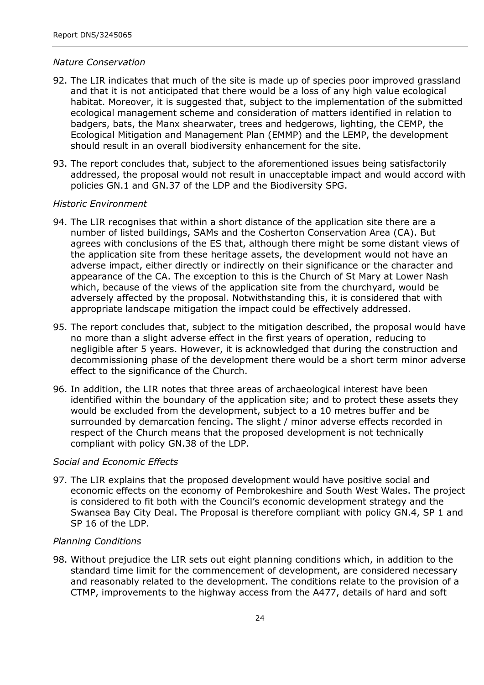#### *Nature Conservation*

- 92. The LIR indicates that much of the site is made up of species poor improved grassland and that it is not anticipated that there would be a loss of any high value ecological habitat. Moreover, it is suggested that, subject to the implementation of the submitted ecological management scheme and consideration of matters identified in relation to badgers, bats, the Manx shearwater, trees and hedgerows, lighting, the CEMP, the Ecological Mitigation and Management Plan (EMMP) and the LEMP, the development should result in an overall biodiversity enhancement for the site.
- 93. The report concludes that, subject to the aforementioned issues being satisfactorily addressed, the proposal would not result in unacceptable impact and would accord with policies GN.1 and GN.37 of the LDP and the Biodiversity SPG.

#### *Historic Environment*

- 94. The LIR recognises that within a short distance of the application site there are a number of listed buildings, SAMs and the Cosherton Conservation Area (CA). But agrees with conclusions of the ES that, although there might be some distant views of the application site from these heritage assets, the development would not have an adverse impact, either directly or indirectly on their significance or the character and appearance of the CA. The exception to this is the Church of St Mary at Lower Nash which, because of the views of the application site from the churchyard, would be adversely affected by the proposal. Notwithstanding this, it is considered that with appropriate landscape mitigation the impact could be effectively addressed.
- 95. The report concludes that, subject to the mitigation described, the proposal would have no more than a slight adverse effect in the first years of operation, reducing to negligible after 5 years. However, it is acknowledged that during the construction and decommissioning phase of the development there would be a short term minor adverse effect to the significance of the Church.
- 96. In addition, the LIR notes that three areas of archaeological interest have been identified within the boundary of the application site; and to protect these assets they would be excluded from the development, subject to a 10 metres buffer and be surrounded by demarcation fencing. The slight / minor adverse effects recorded in respect of the Church means that the proposed development is not technically compliant with policy GN.38 of the LDP.

#### *Social and Economic Effects*

97. The LIR explains that the proposed development would have positive social and economic effects on the economy of Pembrokeshire and South West Wales. The project is considered to fit both with the Council's economic development strategy and the Swansea Bay City Deal. The Proposal is therefore compliant with policy GN.4, SP 1 and SP 16 of the LDP.

#### *Planning Conditions*

98. Without prejudice the LIR sets out eight planning conditions which, in addition to the standard time limit for the commencement of development, are considered necessary and reasonably related to the development. The conditions relate to the provision of a CTMP, improvements to the highway access from the A477, details of hard and soft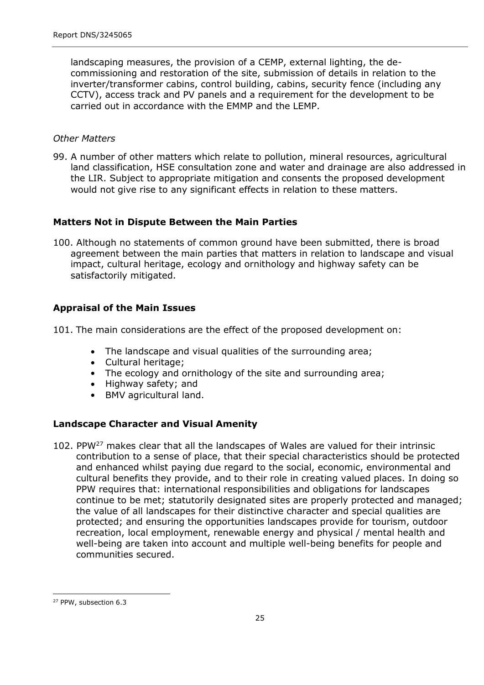landscaping measures, the provision of a CEMP, external lighting, the decommissioning and restoration of the site, submission of details in relation to the inverter/transformer cabins, control building, cabins, security fence (including any CCTV), access track and PV panels and a requirement for the development to be carried out in accordance with the EMMP and the LEMP.

#### *Other Matters*

99. A number of other matters which relate to pollution, mineral resources, agricultural land classification, HSE consultation zone and water and drainage are also addressed in the LIR. Subject to appropriate mitigation and consents the proposed development would not give rise to any significant effects in relation to these matters.

#### **Matters Not in Dispute Between the Main Parties**

100. Although no statements of common ground have been submitted, there is broad agreement between the main parties that matters in relation to landscape and visual impact, cultural heritage, ecology and ornithology and highway safety can be satisfactorily mitigated.

### **Appraisal of the Main Issues**

101. The main considerations are the effect of the proposed development on:

- The landscape and visual qualities of the surrounding area;
- Cultural heritage;
- The ecology and ornithology of the site and surrounding area;
- Highway safety; and
- BMV agricultural land.

## **Landscape Character and Visual Amenity**

102. PPW<sup>27</sup> makes clear that all the landscapes of Wales are valued for their intrinsic contribution to a sense of place, that their special characteristics should be protected and enhanced whilst paying due regard to the social, economic, environmental and cultural benefits they provide, and to their role in creating valued places. In doing so PPW requires that: international responsibilities and obligations for landscapes continue to be met; statutorily designated sites are properly protected and managed; the value of all landscapes for their distinctive character and special qualities are protected; and ensuring the opportunities landscapes provide for tourism, outdoor recreation, local employment, renewable energy and physical / mental health and well-being are taken into account and multiple well-being benefits for people and communities secured.

<sup>&</sup>lt;sup>27</sup> PPW, subsection 6.3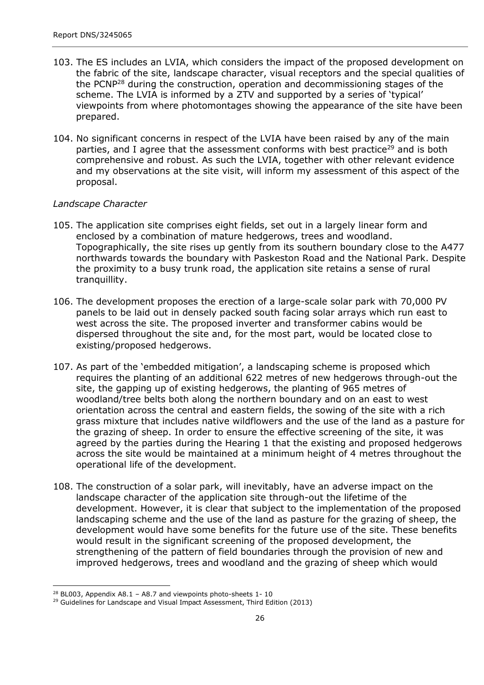- 103. The ES includes an LVIA, which considers the impact of the proposed development on the fabric of the site, landscape character, visual receptors and the special qualities of the PCNP<sup>28</sup> during the construction, operation and decommissioning stages of the scheme. The LVIA is informed by a ZTV and supported by a series of 'typical' viewpoints from where photomontages showing the appearance of the site have been prepared.
- 104. No significant concerns in respect of the LVIA have been raised by any of the main parties, and I agree that the assessment conforms with best practice<sup>29</sup> and is both comprehensive and robust. As such the LVIA, together with other relevant evidence and my observations at the site visit, will inform my assessment of this aspect of the proposal.

#### *Landscape Character*

- 105. The application site comprises eight fields, set out in a largely linear form and enclosed by a combination of mature hedgerows, trees and woodland. Topographically, the site rises up gently from its southern boundary close to the A477 northwards towards the boundary with Paskeston Road and the National Park. Despite the proximity to a busy trunk road, the application site retains a sense of rural tranquillity.
- 106. The development proposes the erection of a large-scale solar park with 70,000 PV panels to be laid out in densely packed south facing solar arrays which run east to west across the site. The proposed inverter and transformer cabins would be dispersed throughout the site and, for the most part, would be located close to existing/proposed hedgerows.
- 107. As part of the 'embedded mitigation', a landscaping scheme is proposed which requires the planting of an additional 622 metres of new hedgerows through-out the site, the gapping up of existing hedgerows, the planting of 965 metres of woodland/tree belts both along the northern boundary and on an east to west orientation across the central and eastern fields, the sowing of the site with a rich grass mixture that includes native wildflowers and the use of the land as a pasture for the grazing of sheep. In order to ensure the effective screening of the site, it was agreed by the parties during the Hearing 1 that the existing and proposed hedgerows across the site would be maintained at a minimum height of 4 metres throughout the operational life of the development.
- 108. The construction of a solar park, will inevitably, have an adverse impact on the landscape character of the application site through-out the lifetime of the development. However, it is clear that subject to the implementation of the proposed landscaping scheme and the use of the land as pasture for the grazing of sheep, the development would have some benefits for the future use of the site. These benefits would result in the significant screening of the proposed development, the strengthening of the pattern of field boundaries through the provision of new and improved hedgerows, trees and woodland and the grazing of sheep which would

<sup>&</sup>lt;sup>28</sup> BL003, Appendix A8.1 - A8.7 and viewpoints photo-sheets  $1 - 10$ 

<sup>&</sup>lt;sup>29</sup> Guidelines for Landscape and Visual Impact Assessment, Third Edition (2013)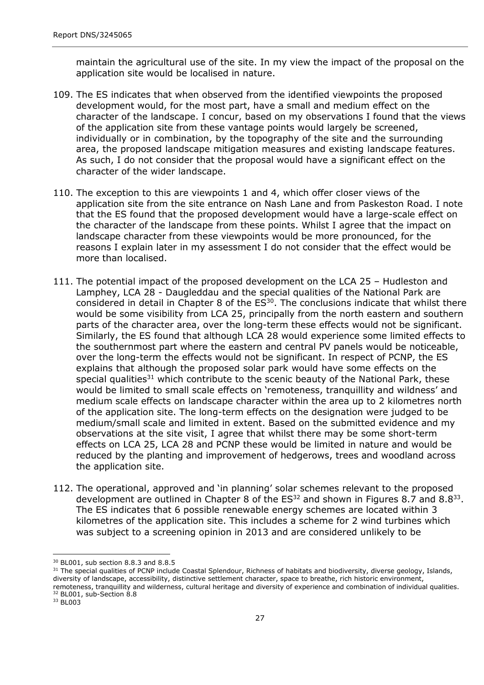maintain the agricultural use of the site. In my view the impact of the proposal on the application site would be localised in nature.

- 109. The ES indicates that when observed from the identified viewpoints the proposed development would, for the most part, have a small and medium effect on the character of the landscape. I concur, based on my observations I found that the views of the application site from these vantage points would largely be screened, individually or in combination, by the topography of the site and the surrounding area, the proposed landscape mitigation measures and existing landscape features. As such, I do not consider that the proposal would have a significant effect on the character of the wider landscape.
- 110. The exception to this are viewpoints 1 and 4, which offer closer views of the application site from the site entrance on Nash Lane and from Paskeston Road. I note that the ES found that the proposed development would have a large-scale effect on the character of the landscape from these points. Whilst I agree that the impact on landscape character from these viewpoints would be more pronounced, for the reasons I explain later in my assessment I do not consider that the effect would be more than localised.
- 111. The potential impact of the proposed development on the LCA 25 Hudleston and Lamphey, LCA 28 - Daugleddau and the special qualities of the National Park are considered in detail in Chapter 8 of the  $ES<sup>30</sup>$ . The conclusions indicate that whilst there would be some visibility from LCA 25, principally from the north eastern and southern parts of the character area, over the long-term these effects would not be significant. Similarly, the ES found that although LCA 28 would experience some limited effects to the southernmost part where the eastern and central PV panels would be noticeable, over the long-term the effects would not be significant. In respect of PCNP, the ES explains that although the proposed solar park would have some effects on the special qualities<sup>31</sup> which contribute to the scenic beauty of the National Park, these would be limited to small scale effects on 'remoteness, tranquillity and wildness' and medium scale effects on landscape character within the area up to 2 kilometres north of the application site. The long-term effects on the designation were judged to be medium/small scale and limited in extent. Based on the submitted evidence and my observations at the site visit, I agree that whilst there may be some short-term effects on LCA 25, LCA 28 and PCNP these would be limited in nature and would be reduced by the planting and improvement of hedgerows, trees and woodland across the application site.
- 112. The operational, approved and 'in planning' solar schemes relevant to the proposed development are outlined in Chapter 8 of the  $ES^{32}$  and shown in Figures 8.7 and 8.8<sup>33</sup>. The ES indicates that 6 possible renewable energy schemes are located within 3 kilometres of the application site. This includes a scheme for 2 wind turbines which was subject to a screening opinion in 2013 and are considered unlikely to be

<sup>30</sup> BL001, sub section 8.8.3 and 8.8.5

<sup>&</sup>lt;sup>31</sup> The special qualities of PCNP include Coastal Splendour, Richness of habitats and biodiversity, diverse geology, Islands, diversity of landscape, accessibility, distinctive settlement character, space to breathe, rich historic environment, remoteness, tranquillity and wilderness, cultural heritage and diversity of experience and combination of individual qualities. <sup>32</sup> BL001, sub-Section 8.8

<sup>33</sup> BL003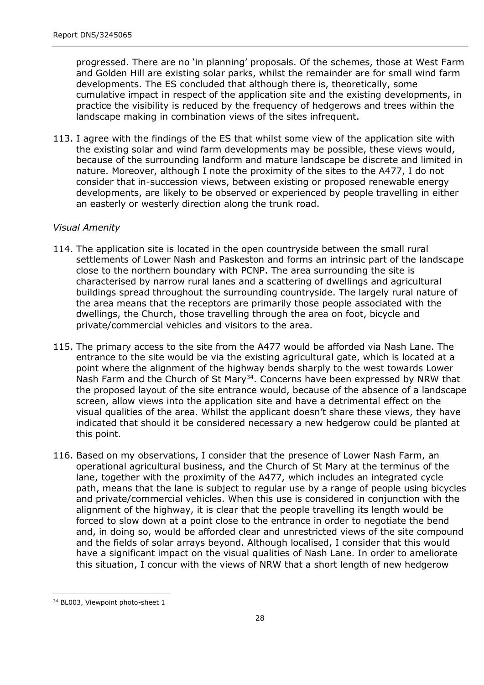progressed. There are no 'in planning' proposals. Of the schemes, those at West Farm and Golden Hill are existing solar parks, whilst the remainder are for small wind farm developments. The ES concluded that although there is, theoretically, some cumulative impact in respect of the application site and the existing developments, in practice the visibility is reduced by the frequency of hedgerows and trees within the landscape making in combination views of the sites infrequent.

113. I agree with the findings of the ES that whilst some view of the application site with the existing solar and wind farm developments may be possible, these views would, because of the surrounding landform and mature landscape be discrete and limited in nature. Moreover, although I note the proximity of the sites to the A477, I do not consider that in-succession views, between existing or proposed renewable energy developments, are likely to be observed or experienced by people travelling in either an easterly or westerly direction along the trunk road.

#### *Visual Amenity*

- 114. The application site is located in the open countryside between the small rural settlements of Lower Nash and Paskeston and forms an intrinsic part of the landscape close to the northern boundary with PCNP. The area surrounding the site is characterised by narrow rural lanes and a scattering of dwellings and agricultural buildings spread throughout the surrounding countryside. The largely rural nature of the area means that the receptors are primarily those people associated with the dwellings, the Church, those travelling through the area on foot, bicycle and private/commercial vehicles and visitors to the area.
- 115. The primary access to the site from the A477 would be afforded via Nash Lane. The entrance to the site would be via the existing agricultural gate, which is located at a point where the alignment of the highway bends sharply to the west towards Lower Nash Farm and the Church of St Mary<sup>34</sup>. Concerns have been expressed by NRW that the proposed layout of the site entrance would, because of the absence of a landscape screen, allow views into the application site and have a detrimental effect on the visual qualities of the area. Whilst the applicant doesn't share these views, they have indicated that should it be considered necessary a new hedgerow could be planted at this point.
- 116. Based on my observations, I consider that the presence of Lower Nash Farm, an operational agricultural business, and the Church of St Mary at the terminus of the lane, together with the proximity of the A477, which includes an integrated cycle path, means that the lane is subject to regular use by a range of people using bicycles and private/commercial vehicles. When this use is considered in conjunction with the alignment of the highway, it is clear that the people travelling its length would be forced to slow down at a point close to the entrance in order to negotiate the bend and, in doing so, would be afforded clear and unrestricted views of the site compound and the fields of solar arrays beyond. Although localised, I consider that this would have a significant impact on the visual qualities of Nash Lane. In order to ameliorate this situation, I concur with the views of NRW that a short length of new hedgerow

<sup>&</sup>lt;sup>34</sup> BL003, Viewpoint photo-sheet 1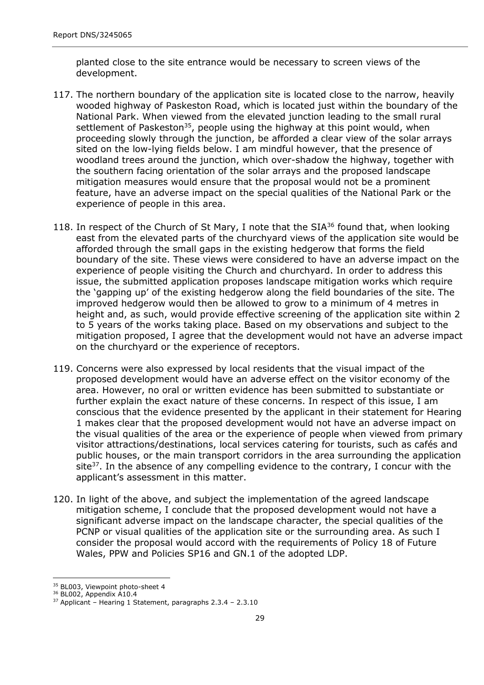planted close to the site entrance would be necessary to screen views of the development.

- 117. The northern boundary of the application site is located close to the narrow, heavily wooded highway of Paskeston Road, which is located just within the boundary of the National Park. When viewed from the elevated junction leading to the small rural settlement of Paskeston<sup>35</sup>, people using the highway at this point would, when proceeding slowly through the junction, be afforded a clear view of the solar arrays sited on the low-lying fields below. I am mindful however, that the presence of woodland trees around the junction, which over-shadow the highway, together with the southern facing orientation of the solar arrays and the proposed landscape mitigation measures would ensure that the proposal would not be a prominent feature, have an adverse impact on the special qualities of the National Park or the experience of people in this area.
- 118. In respect of the Church of St Mary, I note that the  $SIA^{36}$  found that, when looking east from the elevated parts of the churchyard views of the application site would be afforded through the small gaps in the existing hedgerow that forms the field boundary of the site. These views were considered to have an adverse impact on the experience of people visiting the Church and churchyard. In order to address this issue, the submitted application proposes landscape mitigation works which require the 'gapping up' of the existing hedgerow along the field boundaries of the site. The improved hedgerow would then be allowed to grow to a minimum of 4 metres in height and, as such, would provide effective screening of the application site within 2 to 5 years of the works taking place. Based on my observations and subject to the mitigation proposed, I agree that the development would not have an adverse impact on the churchyard or the experience of receptors.
- 119. Concerns were also expressed by local residents that the visual impact of the proposed development would have an adverse effect on the visitor economy of the area. However, no oral or written evidence has been submitted to substantiate or further explain the exact nature of these concerns. In respect of this issue, I am conscious that the evidence presented by the applicant in their statement for Hearing 1 makes clear that the proposed development would not have an adverse impact on the visual qualities of the area or the experience of people when viewed from primary visitor attractions/destinations, local services catering for tourists, such as cafés and public houses, or the main transport corridors in the area surrounding the application site $37$ . In the absence of any compelling evidence to the contrary, I concur with the applicant's assessment in this matter.
- 120. In light of the above, and subject the implementation of the agreed landscape mitigation scheme, I conclude that the proposed development would not have a significant adverse impact on the landscape character, the special qualities of the PCNP or visual qualities of the application site or the surrounding area. As such I consider the proposal would accord with the requirements of Policy 18 of Future Wales, PPW and Policies SP16 and GN.1 of the adopted LDP.

<sup>&</sup>lt;sup>35</sup> BL003, Viewpoint photo-sheet 4

<sup>&</sup>lt;sup>36</sup> BL002, Appendix A10.4

<sup>37</sup> Applicant – Hearing 1 Statement, paragraphs 2.3.4 – 2.3.10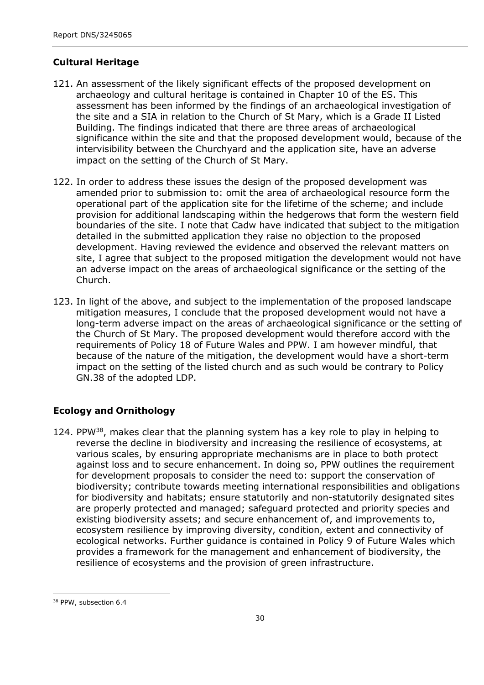## **Cultural Heritage**

- 121. An assessment of the likely significant effects of the proposed development on archaeology and cultural heritage is contained in Chapter 10 of the ES. This assessment has been informed by the findings of an archaeological investigation of the site and a SIA in relation to the Church of St Mary, which is a Grade II Listed Building. The findings indicated that there are three areas of archaeological significance within the site and that the proposed development would, because of the intervisibility between the Churchyard and the application site, have an adverse impact on the setting of the Church of St Mary.
- 122. In order to address these issues the design of the proposed development was amended prior to submission to: omit the area of archaeological resource form the operational part of the application site for the lifetime of the scheme; and include provision for additional landscaping within the hedgerows that form the western field boundaries of the site. I note that Cadw have indicated that subject to the mitigation detailed in the submitted application they raise no objection to the proposed development. Having reviewed the evidence and observed the relevant matters on site, I agree that subject to the proposed mitigation the development would not have an adverse impact on the areas of archaeological significance or the setting of the Church.
- 123. In light of the above, and subject to the implementation of the proposed landscape mitigation measures, I conclude that the proposed development would not have a long-term adverse impact on the areas of archaeological significance or the setting of the Church of St Mary. The proposed development would therefore accord with the requirements of Policy 18 of Future Wales and PPW. I am however mindful, that because of the nature of the mitigation, the development would have a short-term impact on the setting of the listed church and as such would be contrary to Policy GN.38 of the adopted LDP.

## **Ecology and Ornithology**

124. PPW<sup>38</sup>, makes clear that the planning system has a key role to play in helping to reverse the decline in biodiversity and increasing the resilience of ecosystems, at various scales, by ensuring appropriate mechanisms are in place to both protect against loss and to secure enhancement. In doing so, PPW outlines the requirement for development proposals to consider the need to: support the conservation of biodiversity; contribute towards meeting international responsibilities and obligations for biodiversity and habitats; ensure statutorily and non-statutorily designated sites are properly protected and managed; safeguard protected and priority species and existing biodiversity assets; and secure enhancement of, and improvements to, ecosystem resilience by improving diversity, condition, extent and connectivity of ecological networks. Further guidance is contained in Policy 9 of Future Wales which provides a framework for the management and enhancement of biodiversity, the resilience of ecosystems and the provision of green infrastructure.

<sup>&</sup>lt;sup>38</sup> PPW, subsection 6.4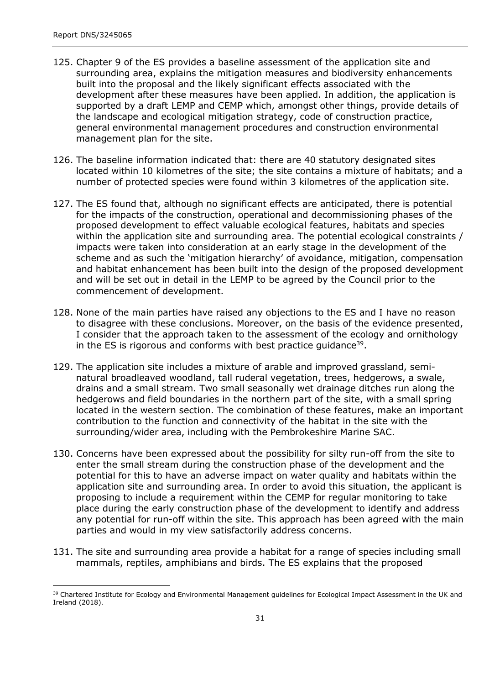- 125. Chapter 9 of the ES provides a baseline assessment of the application site and surrounding area, explains the mitigation measures and biodiversity enhancements built into the proposal and the likely significant effects associated with the development after these measures have been applied. In addition, the application is supported by a draft LEMP and CEMP which, amongst other things, provide details of the landscape and ecological mitigation strategy, code of construction practice, general environmental management procedures and construction environmental management plan for the site.
- 126. The baseline information indicated that: there are 40 statutory designated sites located within 10 kilometres of the site; the site contains a mixture of habitats; and a number of protected species were found within 3 kilometres of the application site.
- 127. The ES found that, although no significant effects are anticipated, there is potential for the impacts of the construction, operational and decommissioning phases of the proposed development to effect valuable ecological features, habitats and species within the application site and surrounding area. The potential ecological constraints / impacts were taken into consideration at an early stage in the development of the scheme and as such the 'mitigation hierarchy' of avoidance, mitigation, compensation and habitat enhancement has been built into the design of the proposed development and will be set out in detail in the LEMP to be agreed by the Council prior to the commencement of development.
- 128. None of the main parties have raised any objections to the ES and I have no reason to disagree with these conclusions. Moreover, on the basis of the evidence presented, I consider that the approach taken to the assessment of the ecology and ornithology in the ES is rigorous and conforms with best practice guidance<sup>39</sup>.
- 129. The application site includes a mixture of arable and improved grassland, seminatural broadleaved woodland, tall ruderal vegetation, trees, hedgerows, a swale, drains and a small stream. Two small seasonally wet drainage ditches run along the hedgerows and field boundaries in the northern part of the site, with a small spring located in the western section. The combination of these features, make an important contribution to the function and connectivity of the habitat in the site with the surrounding/wider area, including with the Pembrokeshire Marine SAC.
- 130. Concerns have been expressed about the possibility for silty run-off from the site to enter the small stream during the construction phase of the development and the potential for this to have an adverse impact on water quality and habitats within the application site and surrounding area. In order to avoid this situation, the applicant is proposing to include a requirement within the CEMP for regular monitoring to take place during the early construction phase of the development to identify and address any potential for run-off within the site. This approach has been agreed with the main parties and would in my view satisfactorily address concerns.
- 131. The site and surrounding area provide a habitat for a range of species including small mammals, reptiles, amphibians and birds. The ES explains that the proposed

<sup>&</sup>lt;sup>39</sup> Chartered Institute for Ecology and Environmental Management guidelines for Ecological Impact Assessment in the UK and Ireland (2018).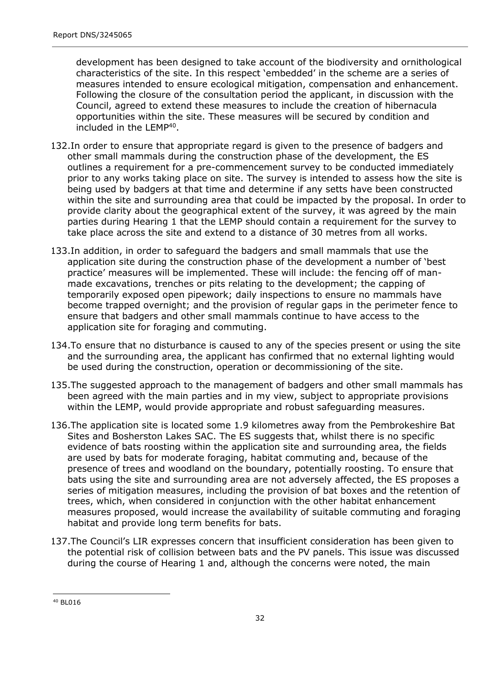development has been designed to take account of the biodiversity and ornithological characteristics of the site. In this respect 'embedded' in the scheme are a series of measures intended to ensure ecological mitigation, compensation and enhancement. Following the closure of the consultation period the applicant, in discussion with the Council, agreed to extend these measures to include the creation of hibernacula opportunities within the site. These measures will be secured by condition and included in the LEMP<sup>40</sup>.

- 132.In order to ensure that appropriate regard is given to the presence of badgers and other small mammals during the construction phase of the development, the ES outlines a requirement for a pre-commencement survey to be conducted immediately prior to any works taking place on site. The survey is intended to assess how the site is being used by badgers at that time and determine if any setts have been constructed within the site and surrounding area that could be impacted by the proposal. In order to provide clarity about the geographical extent of the survey, it was agreed by the main parties during Hearing 1 that the LEMP should contain a requirement for the survey to take place across the site and extend to a distance of 30 metres from all works.
- 133.In addition, in order to safeguard the badgers and small mammals that use the application site during the construction phase of the development a number of 'best practice' measures will be implemented. These will include: the fencing off of manmade excavations, trenches or pits relating to the development; the capping of temporarily exposed open pipework; daily inspections to ensure no mammals have become trapped overnight; and the provision of regular gaps in the perimeter fence to ensure that badgers and other small mammals continue to have access to the application site for foraging and commuting.
- 134.To ensure that no disturbance is caused to any of the species present or using the site and the surrounding area, the applicant has confirmed that no external lighting would be used during the construction, operation or decommissioning of the site.
- 135.The suggested approach to the management of badgers and other small mammals has been agreed with the main parties and in my view, subject to appropriate provisions within the LEMP, would provide appropriate and robust safeguarding measures.
- 136.The application site is located some 1.9 kilometres away from the Pembrokeshire Bat Sites and Bosherston Lakes SAC. The ES suggests that, whilst there is no specific evidence of bats roosting within the application site and surrounding area, the fields are used by bats for moderate foraging, habitat commuting and, because of the presence of trees and woodland on the boundary, potentially roosting. To ensure that bats using the site and surrounding area are not adversely affected, the ES proposes a series of mitigation measures, including the provision of bat boxes and the retention of trees, which, when considered in conjunction with the other habitat enhancement measures proposed, would increase the availability of suitable commuting and foraging habitat and provide long term benefits for bats.
- 137.The Council's LIR expresses concern that insufficient consideration has been given to the potential risk of collision between bats and the PV panels. This issue was discussed during the course of Hearing 1 and, although the concerns were noted, the main

<sup>40</sup> BL016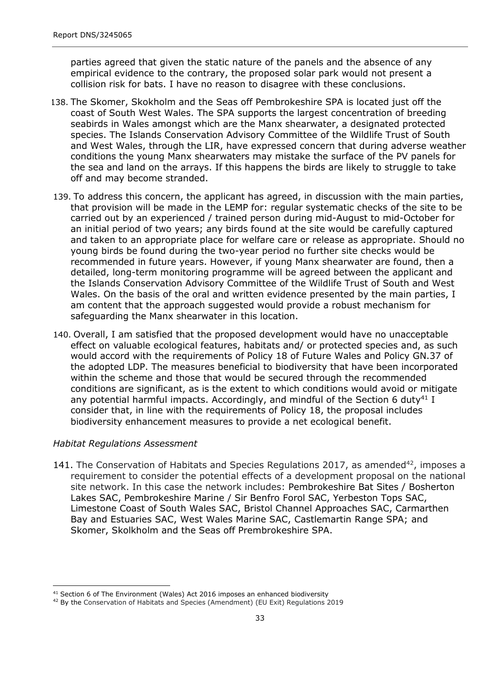parties agreed that given the static nature of the panels and the absence of any empirical evidence to the contrary, the proposed solar park would not present a collision risk for bats. I have no reason to disagree with these conclusions.

- 138. The Skomer, Skokholm and the Seas off Pembrokeshire SPA is located just off the coast of South West Wales. The SPA supports the largest concentration of breeding seabirds in Wales amongst which are the Manx shearwater, a designated protected species. The Islands Conservation Advisory Committee of the Wildlife Trust of South and West Wales, through the LIR, have expressed concern that during adverse weather conditions the young Manx shearwaters may mistake the surface of the PV panels for the sea and land on the arrays. If this happens the birds are likely to struggle to take off and may become stranded.
- 139. To address this concern, the applicant has agreed, in discussion with the main parties, that provision will be made in the LEMP for: regular systematic checks of the site to be carried out by an experienced / trained person during mid-August to mid-October for an initial period of two years; any birds found at the site would be carefully captured and taken to an appropriate place for welfare care or release as appropriate. Should no young birds be found during the two-year period no further site checks would be recommended in future years. However, if young Manx shearwater are found, then a detailed, long-term monitoring programme will be agreed between the applicant and the Islands Conservation Advisory Committee of the Wildlife Trust of South and West Wales. On the basis of the oral and written evidence presented by the main parties, I am content that the approach suggested would provide a robust mechanism for safeguarding the Manx shearwater in this location.
- 140. Overall, I am satisfied that the proposed development would have no unacceptable effect on valuable ecological features, habitats and/ or protected species and, as such would accord with the requirements of Policy 18 of Future Wales and Policy GN.37 of the adopted LDP. The measures beneficial to biodiversity that have been incorporated within the scheme and those that would be secured through the recommended conditions are significant, as is the extent to which conditions would avoid or mitigate any potential harmful impacts. Accordingly, and mindful of the Section 6 duty<sup>41</sup> I consider that, in line with the requirements of Policy 18, the proposal includes biodiversity enhancement measures to provide a net ecological benefit.

#### *Habitat Regulations Assessment*

141. The Conservation of Habitats and Species Regulations 2017, as amended<sup>42</sup>, imposes a requirement to consider the potential effects of a development proposal on the national site network. In this case the network includes: Pembrokeshire Bat Sites / Bosherton Lakes SAC, Pembrokeshire Marine / Sir Benfro Forol SAC, Yerbeston Tops SAC, Limestone Coast of South Wales SAC, Bristol Channel Approaches SAC, Carmarthen Bay and Estuaries SAC, West Wales Marine SAC, Castlemartin Range SPA; and Skomer, Skolkholm and the Seas off Prembrokeshire SPA.

 $41$  Section 6 of The Environment (Wales) Act 2016 imposes an enhanced biodiversity

<sup>42</sup> By the Conservation of Habitats and Species (Amendment) (EU Exit) Regulations 2019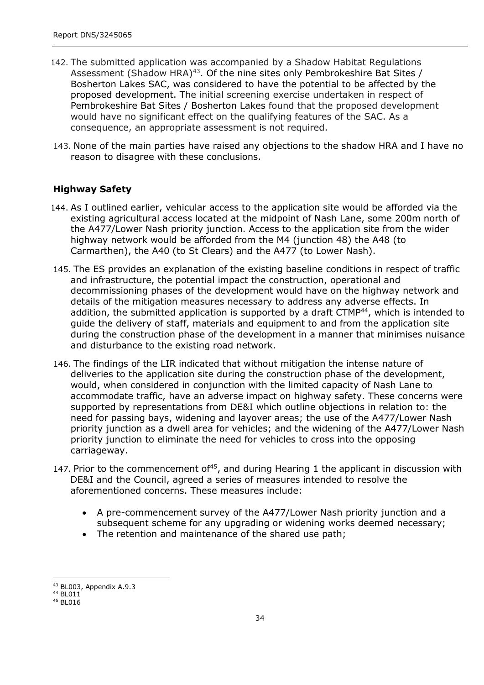- 142. The submitted application was accompanied by a Shadow Habitat Regulations Assessment (Shadow HRA)<sup>43</sup>. Of the nine sites only Pembrokeshire Bat Sites / Bosherton Lakes SAC, was considered to have the potential to be affected by the proposed development. The initial screening exercise undertaken in respect of Pembrokeshire Bat Sites / Bosherton Lakes found that the proposed development would have no significant effect on the qualifying features of the SAC. As a consequence, an appropriate assessment is not required.
- 143. None of the main parties have raised any objections to the shadow HRA and I have no reason to disagree with these conclusions.

## **Highway Safety**

- 144. As I outlined earlier, vehicular access to the application site would be afforded via the existing agricultural access located at the midpoint of Nash Lane, some 200m north of the A477/Lower Nash priority junction. Access to the application site from the wider highway network would be afforded from the M4 (junction 48) the A48 (to Carmarthen), the A40 (to St Clears) and the A477 (to Lower Nash).
- 145. The ES provides an explanation of the existing baseline conditions in respect of traffic and infrastructure, the potential impact the construction, operational and decommissioning phases of the development would have on the highway network and details of the mitigation measures necessary to address any adverse effects. In addition, the submitted application is supported by a draft  $CTMP<sup>44</sup>$ , which is intended to guide the delivery of staff, materials and equipment to and from the application site during the construction phase of the development in a manner that minimises nuisance and disturbance to the existing road network.
- 146. The findings of the LIR indicated that without mitigation the intense nature of deliveries to the application site during the construction phase of the development, would, when considered in conjunction with the limited capacity of Nash Lane to accommodate traffic, have an adverse impact on highway safety. These concerns were supported by representations from DE&I which outline objections in relation to: the need for passing bays, widening and layover areas; the use of the A477/Lower Nash priority junction as a dwell area for vehicles; and the widening of the A477/Lower Nash priority junction to eliminate the need for vehicles to cross into the opposing carriageway.
- 147. Prior to the commencement of<sup>45</sup>, and during Hearing 1 the applicant in discussion with DE&I and the Council, agreed a series of measures intended to resolve the aforementioned concerns. These measures include:
	- A pre-commencement survey of the A477/Lower Nash priority junction and a subsequent scheme for any upgrading or widening works deemed necessary;
	- The retention and maintenance of the shared use path;

<sup>43</sup> BL003, Appendix A.9.3

<sup>44</sup> BL011

<sup>45</sup> BL016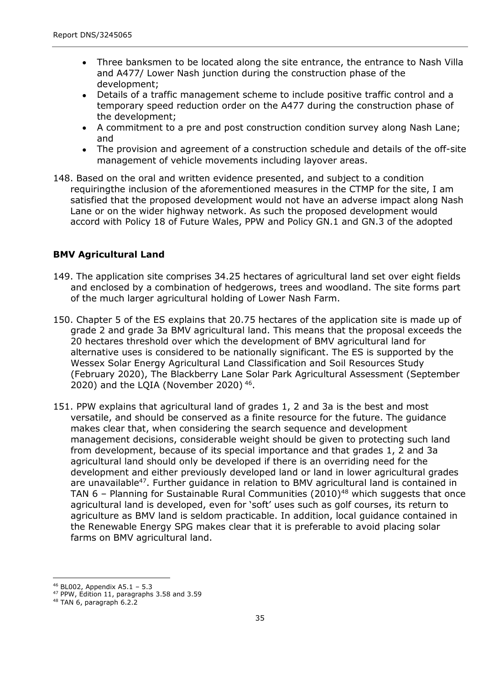- Three banksmen to be located along the site entrance, the entrance to Nash Villa and A477/ Lower Nash junction during the construction phase of the development;
- Details of a traffic management scheme to include positive traffic control and a temporary speed reduction order on the A477 during the construction phase of the development;  $\bullet$
- A commitment to a pre and post construction condition survey along Nash Lane; and  $\bullet$
- The provision and agreement of a construction schedule and details of the off-site management of vehicle movements including layover areas.  $\bullet$
- 148. Based on the oral and written evidence presented, and subject to a condition requiringthe inclusion of the aforementioned measures in the CTMP for the site, I am satisfied that the proposed development would not have an adverse impact along Nash Lane or on the wider highway network. As such the proposed development would accord with Policy 18 of Future Wales, PPW and Policy GN.1 and GN.3 of the adopted

### **BMV Agricultural Land**

- 149. The application site comprises 34.25 hectares of agricultural land set over eight fields and enclosed by a combination of hedgerows, trees and woodland. The site forms part of the much larger agricultural holding of Lower Nash Farm.
- 150. Chapter 5 of the ES explains that 20.75 hectares of the application site is made up of grade 2 and grade 3a BMV agricultural land. This means that the proposal exceeds the 20 hectares threshold over which the development of BMV agricultural land for alternative uses is considered to be nationally significant. The ES is supported by the Wessex Solar Energy Agricultural Land Classification and Soil Resources Study (February 2020), The Blackberry Lane Solar Park Agricultural Assessment (September 2020) and the LQIA (November 2020) <sup>46</sup> .
- 151. PPW explains that agricultural land of grades 1, 2 and 3a is the best and most versatile, and should be conserved as a finite resource for the future. The guidance makes clear that, when considering the search sequence and development management decisions, considerable weight should be given to protecting such land from development, because of its special importance and that grades 1, 2 and 3a agricultural land should only be developed if there is an overriding need for the development and either previously developed land or land in lower agricultural grades are unavailable<sup>47</sup>. Further guidance in relation to BMV agricultural land is contained in TAN  $6$  – Planning for Sustainable Rural Communities (2010)<sup>48</sup> which suggests that once agricultural land is developed, even for 'soft' uses such as golf courses, its return to agriculture as BMV land is seldom practicable. In addition, local guidance contained in the Renewable Energy SPG makes clear that it is preferable to avoid placing solar farms on BMV agricultural land.

<sup>46</sup> BL002, Appendix A5.1 – 5.3

<sup>47</sup> PPW, Edition 11, paragraphs 3.58 and 3.59

<sup>48</sup> TAN 6, paragraph 6.2.2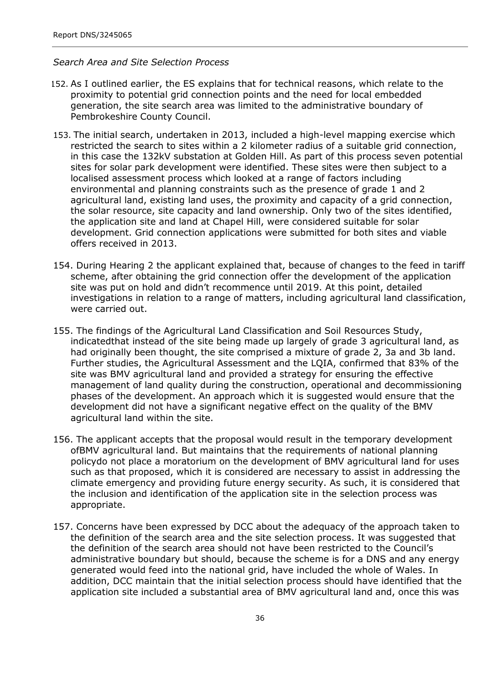#### *Search Area and Site Selection Process*

- 152. As I outlined earlier, the ES explains that for technical reasons, which relate to the proximity to potential grid connection points and the need for local embedded generation, the site search area was limited to the administrative boundary of Pembrokeshire County Council.
- 153. The initial search, undertaken in 2013, included a high-level mapping exercise which restricted the search to sites within a 2 kilometer radius of a suitable grid connection, in this case the 132kV substation at Golden Hill. As part of this process seven potential sites for solar park development were identified. These sites were then subject to a localised assessment process which looked at a range of factors including environmental and planning constraints such as the presence of grade 1 and 2 agricultural land, existing land uses, the proximity and capacity of a grid connection, the solar resource, site capacity and land ownership. Only two of the sites identified, the application site and land at Chapel Hill, were considered suitable for solar development. Grid connection applications were submitted for both sites and viable offers received in 2013.
- 154. During Hearing 2 the applicant explained that, because of changes to the feed in tariff scheme, after obtaining the grid connection offer the development of the application site was put on hold and didn't recommence until 2019. At this point, detailed investigations in relation to a range of matters, including agricultural land classification, were carried out.
- 155. The findings of the Agricultural Land Classification and Soil Resources Study, indicatedthat instead of the site being made up largely of grade 3 agricultural land, as had originally been thought, the site comprised a mixture of grade 2, 3a and 3b land. Further studies, the Agricultural Assessment and the LQIA, confirmed that 83% of the site was BMV agricultural land and provided a strategy for ensuring the effective management of land quality during the construction, operational and decommissioning phases of the development. An approach which it is suggested would ensure that the development did not have a significant negative effect on the quality of the BMV agricultural land within the site.
- 156. The applicant accepts that the proposal would result in the temporary development ofBMV agricultural land. But maintains that the requirements of national planning policydo not place a moratorium on the development of BMV agricultural land for uses such as that proposed, which it is considered are necessary to assist in addressing the climate emergency and providing future energy security. As such, it is considered that the inclusion and identification of the application site in the selection process was appropriate.
- 157. Concerns have been expressed by DCC about the adequacy of the approach taken to the definition of the search area and the site selection process. It was suggested that the definition of the search area should not have been restricted to the Council's administrative boundary but should, because the scheme is for a DNS and any energy generated would feed into the national grid, have included the whole of Wales. In addition, DCC maintain that the initial selection process should have identified that the application site included a substantial area of BMV agricultural land and, once this was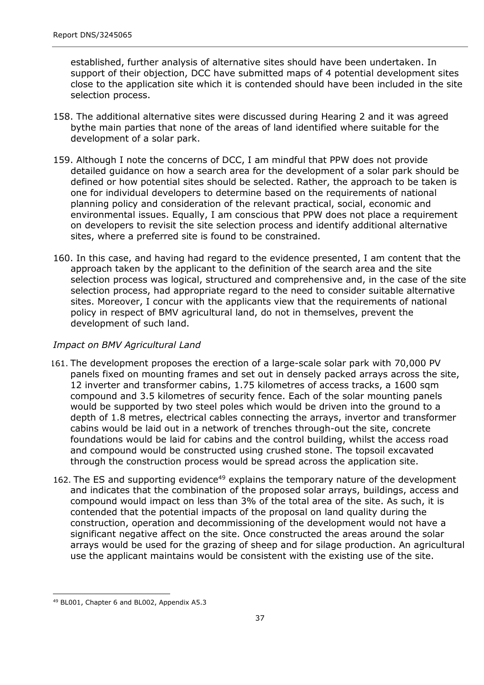established, further analysis of alternative sites should have been undertaken. In support of their objection, DCC have submitted maps of 4 potential development sites close to the application site which it is contended should have been included in the site selection process.

- 158. The additional alternative sites were discussed during Hearing 2 and it was agreed bythe main parties that none of the areas of land identified where suitable for the development of a solar park.
- 159. Although I note the concerns of DCC, I am mindful that PPW does not provide detailed guidance on how a search area for the development of a solar park should be defined or how potential sites should be selected. Rather, the approach to be taken is one for individual developers to determine based on the requirements of national planning policy and consideration of the relevant practical, social, economic and environmental issues. Equally, I am conscious that PPW does not place a requirement on developers to revisit the site selection process and identify additional alternative sites, where a preferred site is found to be constrained.
- 160. In this case, and having had regard to the evidence presented, I am content that the approach taken by the applicant to the definition of the search area and the site selection process was logical, structured and comprehensive and, in the case of the site selection process, had appropriate regard to the need to consider suitable alternative sites. Moreover, I concur with the applicants view that the requirements of national policy in respect of BMV agricultural land, do not in themselves, prevent the development of such land.

#### *Impact on BMV Agricultural Land*

- 161. The development proposes the erection of a large-scale solar park with 70,000 PV panels fixed on mounting frames and set out in densely packed arrays across the site, 12 inverter and transformer cabins, 1.75 kilometres of access tracks, a 1600 sqm compound and 3.5 kilometres of security fence. Each of the solar mounting panels would be supported by two steel poles which would be driven into the ground to a depth of 1.8 metres, electrical cables connecting the arrays, invertor and transformer cabins would be laid out in a network of trenches through-out the site, concrete foundations would be laid for cabins and the control building, whilst the access road and compound would be constructed using crushed stone. The topsoil excavated through the construction process would be spread across the application site.
- 162. The ES and supporting evidence<sup>49</sup> explains the temporary nature of the development and indicates that the combination of the proposed solar arrays, buildings, access and compound would impact on less than 3% of the total area of the site. As such, it is contended that the potential impacts of the proposal on land quality during the construction, operation and decommissioning of the development would not have a significant negative affect on the site. Once constructed the areas around the solar arrays would be used for the grazing of sheep and for silage production. An agricultural use the applicant maintains would be consistent with the existing use of the site.

<sup>49</sup> BL001, Chapter 6 and BL002, Appendix A5.3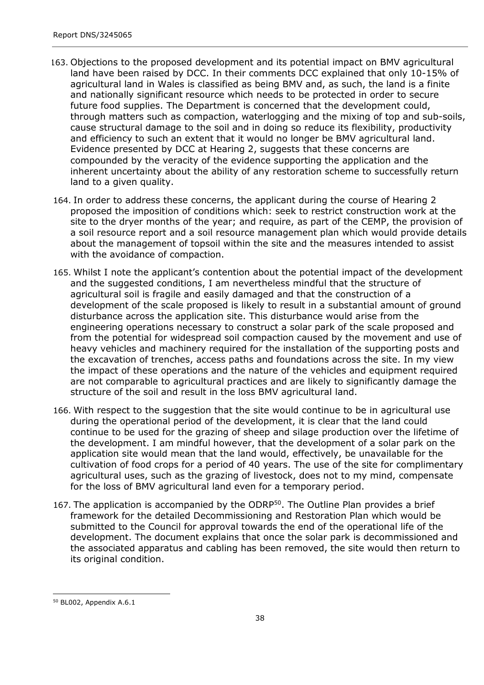- 163. Objections to the proposed development and its potential impact on BMV agricultural land have been raised by DCC. In their comments DCC explained that only 10-15% of agricultural land in Wales is classified as being BMV and, as such, the land is a finite and nationally significant resource which needs to be protected in order to secure future food supplies. The Department is concerned that the development could, through matters such as compaction, waterlogging and the mixing of top and sub-soils, cause structural damage to the soil and in doing so reduce its flexibility, productivity and efficiency to such an extent that it would no longer be BMV agricultural land. Evidence presented by DCC at Hearing 2, suggests that these concerns are compounded by the veracity of the evidence supporting the application and the inherent uncertainty about the ability of any restoration scheme to successfully return land to a given quality.
- 164. In order to address these concerns, the applicant during the course of Hearing 2 proposed the imposition of conditions which: seek to restrict construction work at the site to the dryer months of the year; and require, as part of the CEMP, the provision of a soil resource report and a soil resource management plan which would provide details about the management of topsoil within the site and the measures intended to assist with the avoidance of compaction.
- 165. Whilst I note the applicant's contention about the potential impact of the development and the suggested conditions, I am nevertheless mindful that the structure of agricultural soil is fragile and easily damaged and that the construction of a development of the scale proposed is likely to result in a substantial amount of ground disturbance across the application site. This disturbance would arise from the engineering operations necessary to construct a solar park of the scale proposed and from the potential for widespread soil compaction caused by the movement and use of heavy vehicles and machinery required for the installation of the supporting posts and the excavation of trenches, access paths and foundations across the site. In my view the impact of these operations and the nature of the vehicles and equipment required are not comparable to agricultural practices and are likely to significantly damage the structure of the soil and result in the loss BMV agricultural land.
- 166. With respect to the suggestion that the site would continue to be in agricultural use during the operational period of the development, it is clear that the land could continue to be used for the grazing of sheep and silage production over the lifetime of the development. I am mindful however, that the development of a solar park on the application site would mean that the land would, effectively, be unavailable for the cultivation of food crops for a period of 40 years. The use of the site for complimentary agricultural uses, such as the grazing of livestock, does not to my mind, compensate for the loss of BMV agricultural land even for a temporary period.
- 167. The application is accompanied by the ODRP<sup>50</sup>. The Outline Plan provides a brief framework for the detailed Decommissioning and Restoration Plan which would be submitted to the Council for approval towards the end of the operational life of the development. The document explains that once the solar park is decommissioned and the associated apparatus and cabling has been removed, the site would then return to its original condition.

<sup>50</sup> BL002, Appendix A.6.1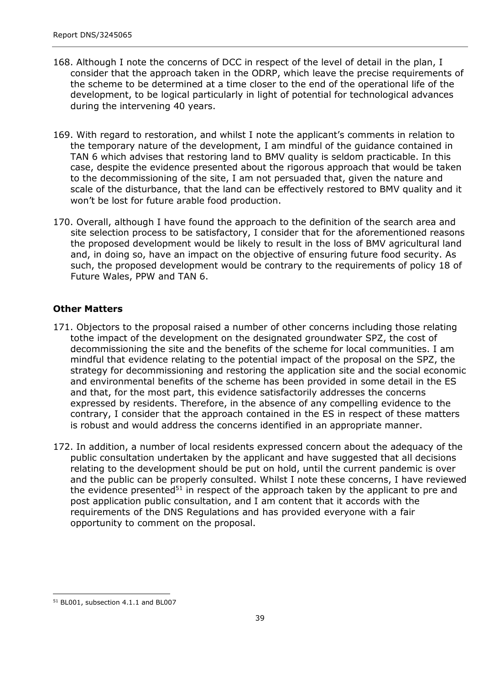- 168. Although I note the concerns of DCC in respect of the level of detail in the plan, I consider that the approach taken in the ODRP, which leave the precise requirements of the scheme to be determined at a time closer to the end of the operational life of the development, to be logical particularly in light of potential for technological advances during the intervening 40 years.
- 169. With regard to restoration, and whilst I note the applicant's comments in relation to the temporary nature of the development, I am mindful of the guidance contained in TAN 6 which advises that restoring land to BMV quality is seldom practicable. In this case, despite the evidence presented about the rigorous approach that would be taken to the decommissioning of the site, I am not persuaded that, given the nature and scale of the disturbance, that the land can be effectively restored to BMV quality and it won't be lost for future arable food production.
- 170. Overall, although I have found the approach to the definition of the search area and site selection process to be satisfactory, I consider that for the aforementioned reasons the proposed development would be likely to result in the loss of BMV agricultural land and, in doing so, have an impact on the objective of ensuring future food security. As such, the proposed development would be contrary to the requirements of policy 18 of Future Wales, PPW and TAN 6.

## **Other Matters**

- 171. Objectors to the proposal raised a number of other concerns including those relating tothe impact of the development on the designated groundwater SPZ, the cost of decommissioning the site and the benefits of the scheme for local communities. I am mindful that evidence relating to the potential impact of the proposal on the SPZ, the strategy for decommissioning and restoring the application site and the social economic and environmental benefits of the scheme has been provided in some detail in the ES and that, for the most part, this evidence satisfactorily addresses the concerns expressed by residents. Therefore, in the absence of any compelling evidence to the contrary, I consider that the approach contained in the ES in respect of these matters is robust and would address the concerns identified in an appropriate manner.
- 172. In addition, a number of local residents expressed concern about the adequacy of the public consultation undertaken by the applicant and have suggested that all decisions relating to the development should be put on hold, until the current pandemic is over and the public can be properly consulted. Whilst I note these concerns, I have reviewed the evidence presented $51$  in respect of the approach taken by the applicant to pre and post application public consultation, and I am content that it accords with the requirements of the DNS Regulations and has provided everyone with a fair opportunity to comment on the proposal.

<sup>51</sup> BL001, subsection 4.1.1 and BL007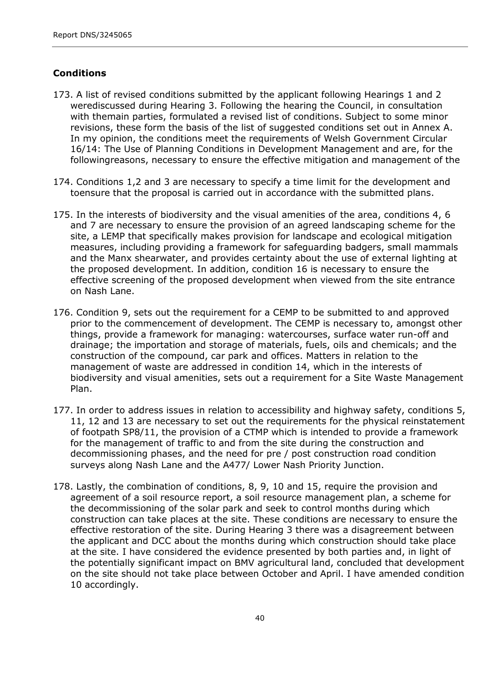## **Conditions**

- 173. A list of revised conditions submitted by the applicant following Hearings 1 and 2 werediscussed during Hearing 3. Following the hearing the Council, in consultation with themain parties, formulated a revised list of conditions. Subject to some minor revisions, these form the basis of the list of suggested conditions set out in Annex A. In my opinion, the conditions meet the requirements of Welsh Government Circular 16/14: The Use of Planning Conditions in Development Management and are, for the followingreasons, necessary to ensure the effective mitigation and management of the
- 174. Conditions 1,2 and 3 are necessary to specify a time limit for the development and toensure that the proposal is carried out in accordance with the submitted plans.
- 175. In the interests of biodiversity and the visual amenities of the area, conditions 4, 6 and 7 are necessary to ensure the provision of an agreed landscaping scheme for the site, a LEMP that specifically makes provision for landscape and ecological mitigation measures, including providing a framework for safeguarding badgers, small mammals and the Manx shearwater, and provides certainty about the use of external lighting at the proposed development. In addition, condition 16 is necessary to ensure the effective screening of the proposed development when viewed from the site entrance on Nash Lane.
- 176. Condition 9, sets out the requirement for a CEMP to be submitted to and approved prior to the commencement of development. The CEMP is necessary to, amongst other things, provide a framework for managing: watercourses, surface water run-off and drainage; the importation and storage of materials, fuels, oils and chemicals; and the construction of the compound, car park and offices. Matters in relation to the management of waste are addressed in condition 14, which in the interests of biodiversity and visual amenities, sets out a requirement for a Site Waste Management Plan.
- 177. In order to address issues in relation to accessibility and highway safety, conditions 5, 11, 12 and 13 are necessary to set out the requirements for the physical reinstatement of footpath SP8/11, the provision of a CTMP which is intended to provide a framework for the management of traffic to and from the site during the construction and decommissioning phases, and the need for pre / post construction road condition surveys along Nash Lane and the A477/ Lower Nash Priority Junction.
- 178. Lastly, the combination of conditions, 8, 9, 10 and 15, require the provision and agreement of a soil resource report, a soil resource management plan, a scheme for the decommissioning of the solar park and seek to control months during which construction can take places at the site. These conditions are necessary to ensure the effective restoration of the site. During Hearing 3 there was a disagreement between the applicant and DCC about the months during which construction should take place at the site. I have considered the evidence presented by both parties and, in light of the potentially significant impact on BMV agricultural land, concluded that development on the site should not take place between October and April. I have amended condition 10 accordingly.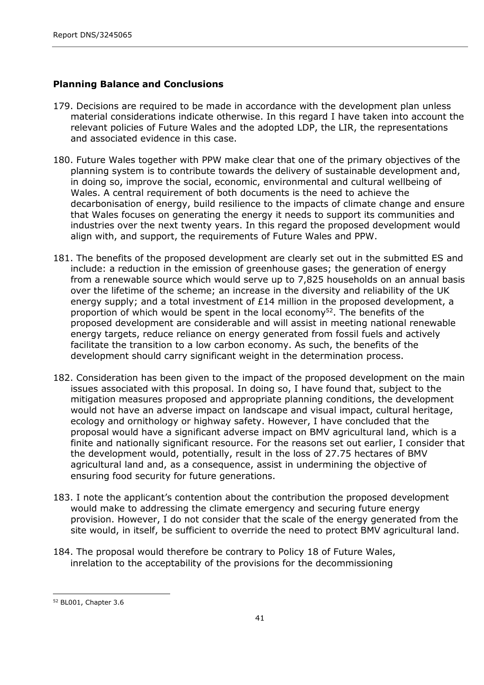### **Planning Balance and Conclusions**

- 179. Decisions are required to be made in accordance with the development plan unless material considerations indicate otherwise. In this regard I have taken into account the relevant policies of Future Wales and the adopted LDP, the LIR, the representations and associated evidence in this case.
- 180. Future Wales together with PPW make clear that one of the primary objectives of the planning system is to contribute towards the delivery of sustainable development and, in doing so, improve the social, economic, environmental and cultural wellbeing of Wales. A central requirement of both documents is the need to achieve the decarbonisation of energy, build resilience to the impacts of climate change and ensure that Wales focuses on generating the energy it needs to support its communities and industries over the next twenty years. In this regard the proposed development would align with, and support, the requirements of Future Wales and PPW.
- 181. The benefits of the proposed development are clearly set out in the submitted ES and include: a reduction in the emission of greenhouse gases; the generation of energy from a renewable source which would serve up to 7,825 households on an annual basis over the lifetime of the scheme; an increase in the diversity and reliability of the UK energy supply; and a total investment of  $E14$  million in the proposed development, a proportion of which would be spent in the local economy<sup>52</sup>. The benefits of the proposed development are considerable and will assist in meeting national renewable energy targets, reduce reliance on energy generated from fossil fuels and actively facilitate the transition to a low carbon economy. As such, the benefits of the development should carry significant weight in the determination process.
- 182. Consideration has been given to the impact of the proposed development on the main issues associated with this proposal. In doing so, I have found that, subject to the mitigation measures proposed and appropriate planning conditions, the development would not have an adverse impact on landscape and visual impact, cultural heritage, ecology and ornithology or highway safety. However, I have concluded that the proposal would have a significant adverse impact on BMV agricultural land, which is a finite and nationally significant resource. For the reasons set out earlier, I consider that the development would, potentially, result in the loss of 27.75 hectares of BMV agricultural land and, as a consequence, assist in undermining the objective of ensuring food security for future generations.
- 183. I note the applicant's contention about the contribution the proposed development would make to addressing the climate emergency and securing future energy provision. However, I do not consider that the scale of the energy generated from the site would, in itself, be sufficient to override the need to protect BMV agricultural land.
- 184. The proposal would therefore be contrary to Policy 18 of Future Wales, inrelation to the acceptability of the provisions for the decommissioning

<sup>52</sup> BL001, Chapter 3.6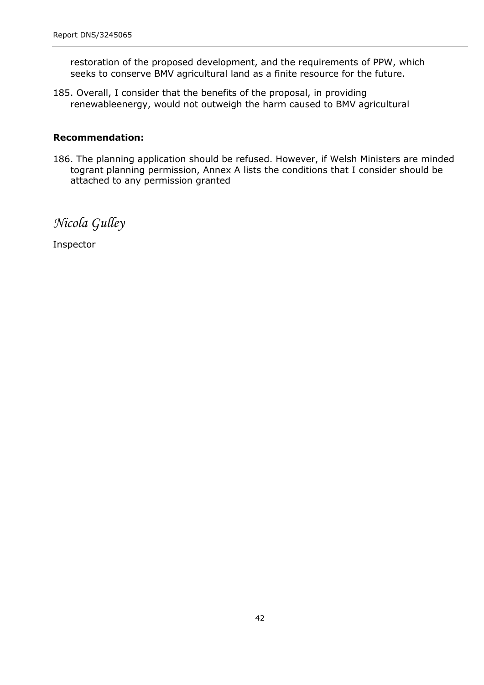restoration of the proposed development, and the requirements of PPW, which seeks to conserve BMV agricultural land as a finite resource for the future.

185. Overall, I consider that the benefits of the proposal, in providing renewableenergy, would not outweigh the harm caused to BMV agricultural

#### **Recommendation:**

186. The planning application should be refused. However, if Welsh Ministers are minded togrant planning permission, Annex A lists the conditions that I consider should be attached to any permission granted

*Nicola Gulley*

Inspector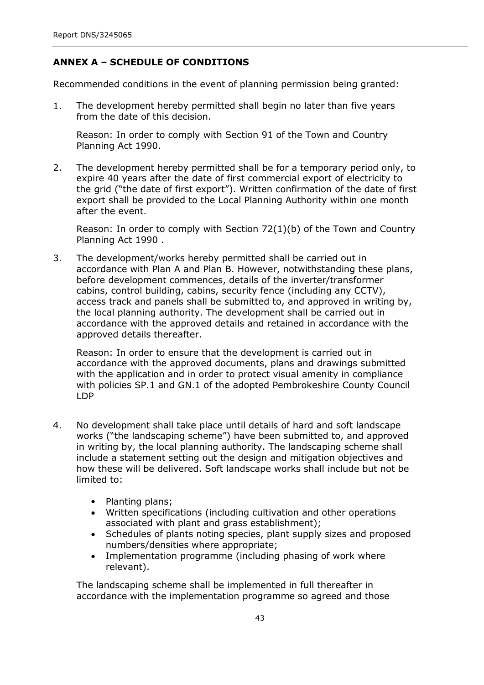## **ANNEX A – SCHEDULE OF CONDITIONS**

Recommended conditions in the event of planning permission being granted:

1. The development hereby permitted shall begin no later than five years from the date of this decision.

Reason: In order to comply with Section 91 of the Town and Country Planning Act 1990.

2. The development hereby permitted shall be for a temporary period only, to expire 40 years after the date of first commercial export of electricity to the grid ("the date of first export"). Written confirmation of the date of first export shall be provided to the Local Planning Authority within one month after the event.

Reason: In order to comply with Section  $72(1)(b)$  of the Town and Country Planning Act 1990 .

The development/works hereby permitted shall be carried out in accordance with Plan A and Plan B. However, notwithstanding these plans, before development commences, details of the inverter/transformer cabins, control building, cabins, security fence (including any CCTV), access track and panels shall be submitted to, and approved in writing by, the local planning authority. The development shall be carried out in accordance with the approved details and retained in accordance with the approved details thereafter. 3.

Reason: In order to ensure that the development is carried out in accordance with the approved documents, plans and drawings submitted with the application and in order to protect visual amenity in compliance with policies SP.1 and GN.1 of the adopted Pembrokeshire County Council LDP

- 4. No development shall take place until details of hard and soft landscape works ("the landscaping scheme") have been submitted to, and approved in writing by, the local planning authority. The landscaping scheme shall include a statement setting out the design and mitigation objectives and how these will be delivered. Soft landscape works shall include but not be limited to:
	- Planting plans;
	- Written specifications (including cultivation and other operations associated with plant and grass establishment);
	- Schedules of plants noting species, plant supply sizes and proposed numbers/densities where appropriate;  $\bullet$
	- Implementation programme (including phasing of work where relevant).  $\bullet$

The landscaping scheme shall be implemented in full thereafter in accordance with the implementation programme so agreed and those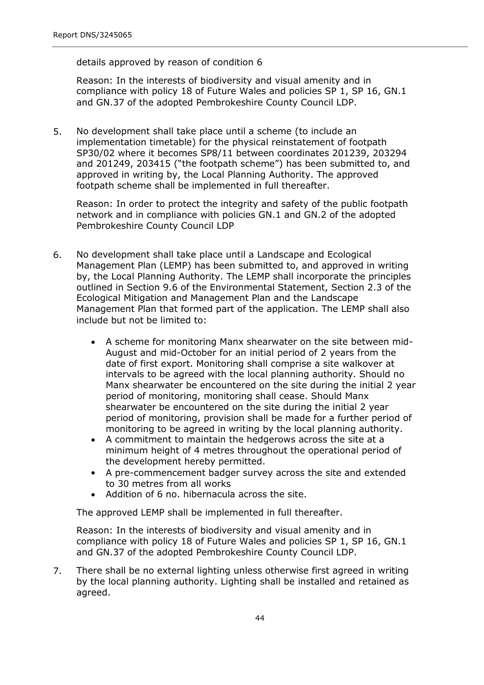details approved by reason of condition 6

Reason: In the interests of biodiversity and visual amenity and in compliance with policy 18 of Future Wales and policies SP 1, SP 16, GN.1 and GN.37 of the adopted Pembrokeshire County Council LDP.

5. No development shall take place until a scheme (to include an implementation timetable) for the physical reinstatement of footpath SP30/02 where it becomes SP8/11 between coordinates 201239, 203294 and 201249, 203415 ("the footpath scheme") has been submitted to, and approved in writing by, the Local Planning Authority. The approved footpath scheme shall be implemented in full thereafter.

Reason: In order to protect the integrity and safety of the public footpath network and in compliance with policies GN.1 and GN.2 of the adopted Pembrokeshire County Council LDP

- 6. No development shall take place until a Landscape and Ecological Management Plan (LEMP) has been submitted to, and approved in writing by, the Local Planning Authority. The LEMP shall incorporate the principles outlined in Section 9.6 of the Environmental Statement, Section 2.3 of the Ecological Mitigation and Management Plan and the Landscape Management Plan that formed part of the application. The LEMP shall also include but not be limited to:
	- A scheme for monitoring Manx shearwater on the site between mid-August and mid-October for an initial period of 2 years from the date of first export. Monitoring shall comprise a site walkover at intervals to be agreed with the local planning authority. Should no Manx shearwater be encountered on the site during the initial 2 year period of monitoring, monitoring shall cease. Should Manx shearwater be encountered on the site during the initial 2 year period of monitoring, provision shall be made for a further period of monitoring to be agreed in writing by the local planning authority.
	- A commitment to maintain the hedgerows across the site at a minimum height of 4 metres throughout the operational period of the development hereby permitted.
	- A pre-commencement badger survey across the site and extended to 30 metres from all works  $\bullet$
	- Addition of 6 no. hibernacula across the site.

The approved LEMP shall be implemented in full thereafter.

Reason: In the interests of biodiversity and visual amenity and in compliance with policy 18 of Future Wales and policies SP 1, SP 16, GN.1 and GN.37 of the adopted Pembrokeshire County Council LDP.

There shall be no external lighting unless otherwise first agreed in writing by the local planning authority. Lighting shall be installed and retained as agreed. 7.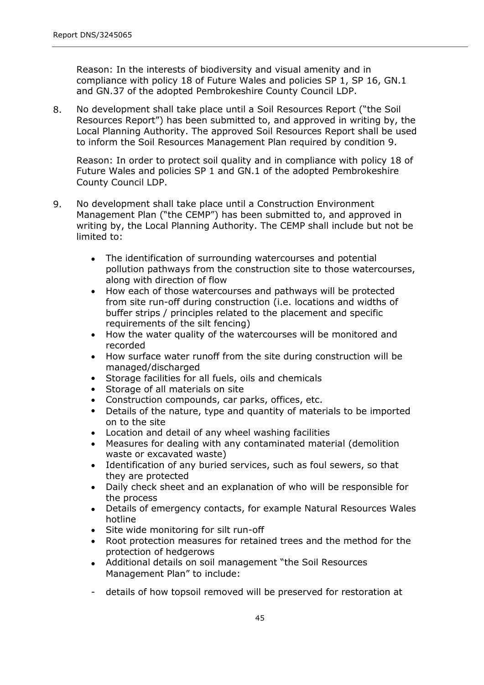Reason: In the interests of biodiversity and visual amenity and in compliance with policy 18 of Future Wales and policies SP 1, SP 16, GN.1 and GN.37 of the adopted Pembrokeshire County Council LDP.

No development shall take place until a Soil Resources Report ("the Soil Resources Report") has been submitted to, and approved in writing by, the Local Planning Authority. The approved Soil Resources Report shall be used to inform the Soil Resources Management Plan required by condition 9. 8.

Reason: In order to protect soil quality and in compliance with policy 18 of Future Wales and policies SP 1 and GN.1 of the adopted Pembrokeshire County Council LDP.

- 9. No development shall take place until a Construction Environment Management Plan ("the CEMP") has been submitted to, and approved in writing by, the Local Planning Authority. The CEMP shall include but not be limited to:
	- The identification of surrounding watercourses and potential pollution pathways from the construction site to those watercourses, along with direction of flow
	- How each of those watercourses and pathways will be protected from site run-off during construction (i.e. locations and widths of buffer strips / principles related to the placement and specific requirements of the silt fencing)  $\bullet$
	- How the water quality of the watercourses will be monitored and recorded
	- How surface water runoff from the site during construction will be managed/discharged
	- Storage facilities for all fuels, oils and chemicals  $\bullet$
	- Storage of all materials on site
	- Construction compounds, car parks, offices, etc.
	- Details of the nature, type and quantity of materials to be imported on to the site
	- Location and detail of any wheel washing facilities
	- Measures for dealing with any contaminated material (demolition waste or excavated waste)
	- Identification of any buried services, such as foul sewers, so that they are protected
	- Daily check sheet and an explanation of who will be responsible for the process
	- Details of emergency contacts, for example Natural Resources Wales hotline
	- Site wide monitoring for silt run-off
	- Root protection measures for retained trees and the method for the protection of hedgerows
	- Additional details on soil management "the Soil Resources Management Plan" to include:
	- details of how topsoil removed will be preserved for restoration at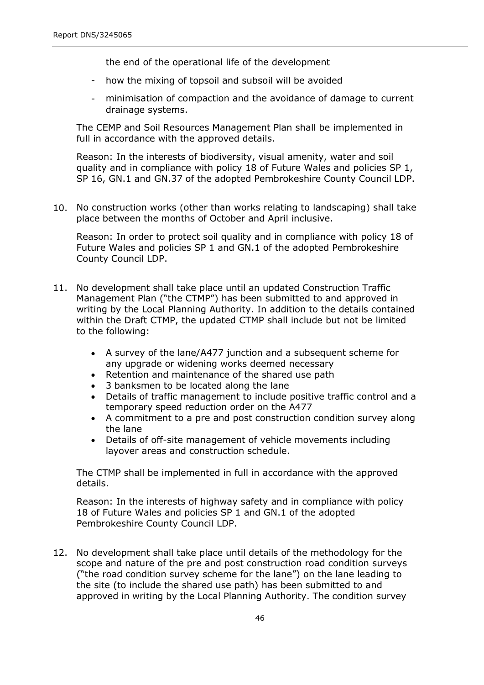the end of the operational life of the development

- how the mixing of topsoil and subsoil will be avoided
- minimisation of compaction and the avoidance of damage to current drainage systems.

The CEMP and Soil Resources Management Plan shall be implemented in full in accordance with the approved details.

Reason: In the interests of biodiversity, visual amenity, water and soil quality and in compliance with policy 18 of Future Wales and policies SP 1, SP 16, GN.1 and GN.37 of the adopted Pembrokeshire County Council LDP.

10. No construction works (other than works relating to landscaping) shall take place between the months of October and April inclusive.

Reason: In order to protect soil quality and in compliance with policy 18 of Future Wales and policies SP 1 and GN.1 of the adopted Pembrokeshire County Council LDP.

- 11. No development shall take place until an updated Construction Traffic Management Plan ("the CTMP") has been submitted to and approved in writing by the Local Planning Authority. In addition to the details contained within the Draft CTMP, the updated CTMP shall include but not be limited to the following:
	- A survey of the lane/A477 junction and a subsequent scheme for any upgrade or widening works deemed necessary
	- Retention and maintenance of the shared use path
	- 3 banksmen to be located along the lane
	- Details of traffic management to include positive traffic control and a temporary speed reduction order on the A477
	- A commitment to a pre and post construction condition survey along the lane
	- Details of off-site management of vehicle movements including layover areas and construction schedule.

The CTMP shall be implemented in full in accordance with the approved details.

Reason: In the interests of highway safety and in compliance with policy 18 of Future Wales and policies SP 1 and GN.1 of the adopted Pembrokeshire County Council LDP.

12. No development shall take place until details of the methodology for the scope and nature of the pre and post construction road condition surveys ("the road condition survey scheme for the lane") on the lane leading to the site (to include the shared use path) has been submitted to and approved in writing by the Local Planning Authority. The condition survey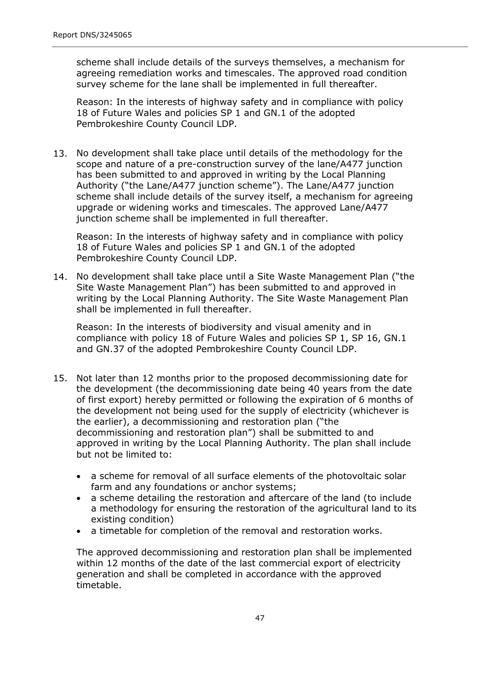scheme shall include details of the surveys themselves, a mechanism for agreeing remediation works and timescales. The approved road condition survey scheme for the lane shall be implemented in full thereafter.

Reason: In the interests of highway safety and in compliance with policy 18 of Future Wales and policies SP 1 and GN.1 of the adopted Pembrokeshire County Council LDP.

13. No development shall take place until details of the methodology for the scope and nature of a pre-construction survey of the lane/A477 junction has been submitted to and approved in writing by the Local Planning Authority ("the Lane/A477 junction scheme"). The Lane/A477 junction scheme shall include details of the survey itself, a mechanism for agreeing upgrade or widening works and timescales. The approved Lane/A477 junction scheme shall be implemented in full thereafter.

Reason: In the interests of highway safety and in compliance with policy 18 of Future Wales and policies SP 1 and GN.1 of the adopted Pembrokeshire County Council LDP.

14. No development shall take place until a Site Waste Management Plan ("the Site Waste Management Plan") has been submitted to and approved in writing by the Local Planning Authority. The Site Waste Management Plan shall be implemented in full thereafter.

Reason: In the interests of biodiversity and visual amenity and in compliance with policy 18 of Future Wales and policies SP 1, SP 16, GN.1 and GN.37 of the adopted Pembrokeshire County Council LDP.

- 15. Not later than 12 months prior to the proposed decommissioning date for the development (the decommissioning date being 40 years from the date of first export) hereby permitted or following the expiration of 6 months of the development not being used for the supply of electricity (whichever is the earlier), a decommissioning and restoration plan ("the decommissioning and restoration plan") shall be submitted to and approved in writing by the Local Planning Authority. The plan shall include but not be limited to:
	- a scheme for removal of all surface elements of the photovoltaic solar farm and any foundations or anchor systems;
	- a scheme detailing the restoration and aftercare of the land (to include a methodology for ensuring the restoration of the agricultural land to its existing condition)
	- a timetable for completion of the removal and restoration works.  $\bullet$

The approved decommissioning and restoration plan shall be implemented within 12 months of the date of the last commercial export of electricity generation and shall be completed in accordance with the approved timetable.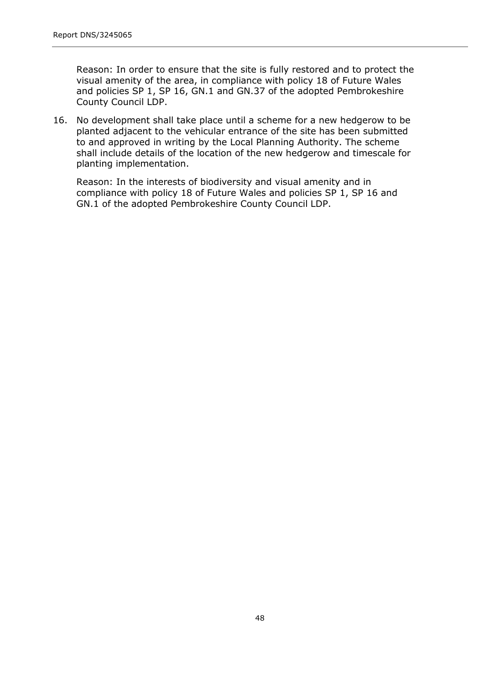Reason: In order to ensure that the site is fully restored and to protect the visual amenity of the area, in compliance with policy 18 of Future Wales and policies SP 1, SP 16, GN.1 and GN.37 of the adopted Pembrokeshire County Council LDP.

16. No development shall take place until a scheme for a new hedgerow to be planted adjacent to the vehicular entrance of the site has been submitted to and approved in writing by the Local Planning Authority. The scheme shall include details of the location of the new hedgerow and timescale for planting implementation.

Reason: In the interests of biodiversity and visual amenity and in compliance with policy 18 of Future Wales and policies SP 1, SP 16 and GN.1 of the adopted Pembrokeshire County Council LDP.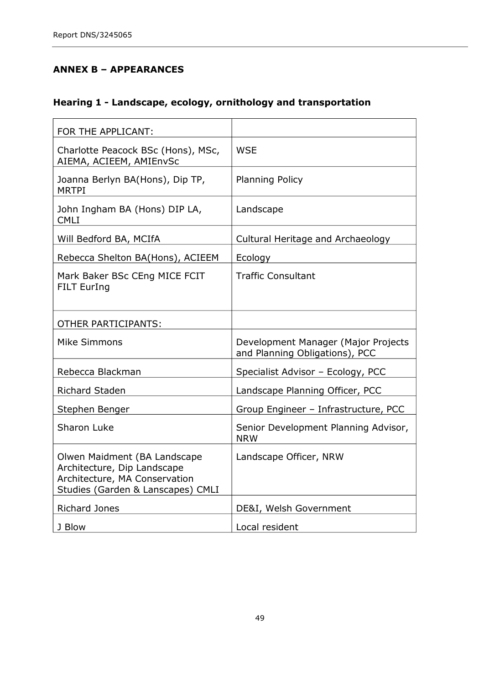## **ANNEX B – APPEARANCES**

## **Hearing 1 - Landscape, ecology, ornithology and transportation**

| FOR THE APPLICANT:                                                                                                                |                                                                       |
|-----------------------------------------------------------------------------------------------------------------------------------|-----------------------------------------------------------------------|
| Charlotte Peacock BSc (Hons), MSc,<br>AIEMA, ACIEEM, AMIEnvSc                                                                     | <b>WSE</b>                                                            |
| Joanna Berlyn BA(Hons), Dip TP,<br><b>MRTPI</b>                                                                                   | <b>Planning Policy</b>                                                |
| John Ingham BA (Hons) DIP LA,<br><b>CMLI</b>                                                                                      | Landscape                                                             |
| Will Bedford BA, MCIfA                                                                                                            | Cultural Heritage and Archaeology                                     |
| Rebecca Shelton BA(Hons), ACIEEM                                                                                                  | Ecology                                                               |
| Mark Baker BSc CEng MICE FCIT<br><b>FILT EurIng</b>                                                                               | <b>Traffic Consultant</b>                                             |
| <b>OTHER PARTICIPANTS:</b>                                                                                                        |                                                                       |
| Mike Simmons                                                                                                                      | Development Manager (Major Projects<br>and Planning Obligations), PCC |
| Rebecca Blackman                                                                                                                  | Specialist Advisor - Ecology, PCC                                     |
| <b>Richard Staden</b>                                                                                                             | Landscape Planning Officer, PCC                                       |
| Stephen Benger                                                                                                                    | Group Engineer - Infrastructure, PCC                                  |
| Sharon Luke                                                                                                                       | Senior Development Planning Advisor,<br><b>NRW</b>                    |
| Olwen Maidment (BA Landscape<br>Architecture, Dip Landscape<br>Architecture, MA Conservation<br>Studies (Garden & Lanscapes) CMLI | Landscape Officer, NRW                                                |
| <b>Richard Jones</b>                                                                                                              | DE&I, Welsh Government                                                |
| J Blow                                                                                                                            | Local resident                                                        |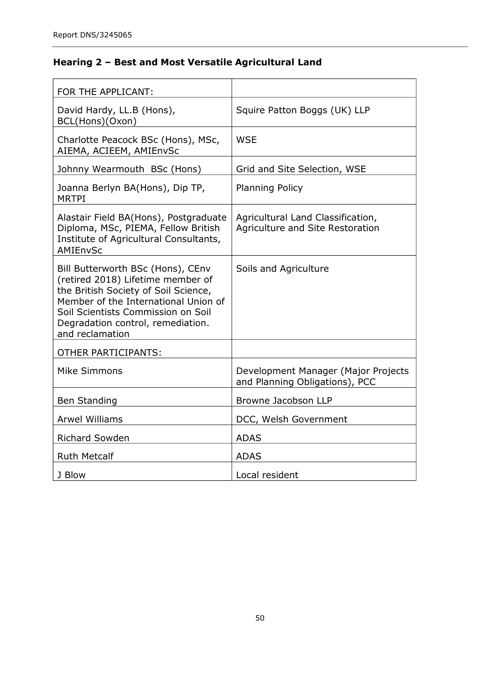# **Hearing 2 – Best and Most Versatile Agricultural Land**

| FOR THE APPLICANT:                                                                                                                                                                                                                                   |                                                                       |
|------------------------------------------------------------------------------------------------------------------------------------------------------------------------------------------------------------------------------------------------------|-----------------------------------------------------------------------|
| David Hardy, LL.B (Hons),<br>BCL(Hons)(Oxon)                                                                                                                                                                                                         | Squire Patton Boggs (UK) LLP                                          |
| Charlotte Peacock BSc (Hons), MSc,<br>AIEMA, ACIEEM, AMIEnvSc                                                                                                                                                                                        | <b>WSE</b>                                                            |
| Johnny Wearmouth BSc (Hons)                                                                                                                                                                                                                          | Grid and Site Selection, WSE                                          |
| Joanna Berlyn BA(Hons), Dip TP,<br><b>MRTPI</b>                                                                                                                                                                                                      | <b>Planning Policy</b>                                                |
| Alastair Field BA(Hons), Postgraduate<br>Diploma, MSc, PIEMA, Fellow British<br>Institute of Agricultural Consultants,<br>AMIEnvSc                                                                                                                   | Agricultural Land Classification,<br>Agriculture and Site Restoration |
| Bill Butterworth BSc (Hons), CEnv<br>(retired 2018) Lifetime member of<br>the British Society of Soil Science,<br>Member of the International Union of<br>Soil Scientists Commission on Soil<br>Degradation control, remediation.<br>and reclamation | Soils and Agriculture                                                 |
| <b>OTHER PARTICIPANTS:</b>                                                                                                                                                                                                                           |                                                                       |
| Mike Simmons                                                                                                                                                                                                                                         | Development Manager (Major Projects<br>and Planning Obligations), PCC |
| <b>Ben Standing</b>                                                                                                                                                                                                                                  | Browne Jacobson LLP                                                   |
| <b>Arwel Williams</b>                                                                                                                                                                                                                                | DCC, Welsh Government                                                 |
| <b>Richard Sowden</b>                                                                                                                                                                                                                                | <b>ADAS</b>                                                           |
| <b>Ruth Metcalf</b>                                                                                                                                                                                                                                  | <b>ADAS</b>                                                           |
| J Blow                                                                                                                                                                                                                                               | Local resident                                                        |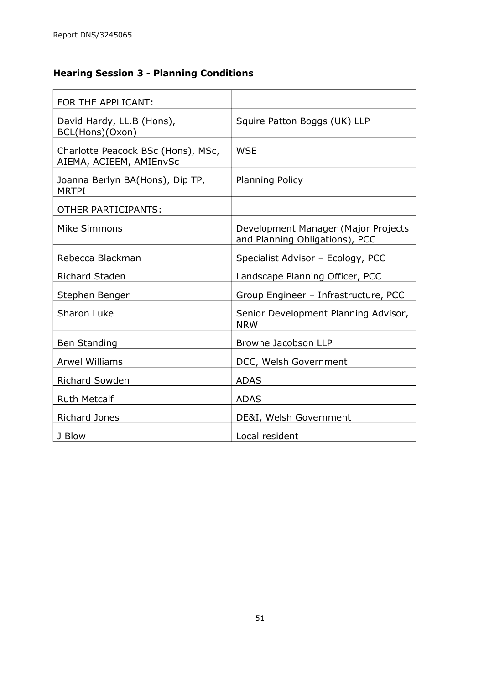# **Hearing Session 3 - Planning Conditions**

| FOR THE APPLICANT:                                            |                                                                       |
|---------------------------------------------------------------|-----------------------------------------------------------------------|
| David Hardy, LL.B (Hons),<br>BCL(Hons)(Oxon)                  | Squire Patton Boggs (UK) LLP                                          |
| Charlotte Peacock BSc (Hons), MSc,<br>AIEMA, ACIEEM, AMIEnvSc | <b>WSE</b>                                                            |
| Joanna Berlyn BA(Hons), Dip TP,<br><b>MRTPI</b>               | <b>Planning Policy</b>                                                |
| <b>OTHER PARTICIPANTS:</b>                                    |                                                                       |
| Mike Simmons                                                  | Development Manager (Major Projects<br>and Planning Obligations), PCC |
| Rebecca Blackman                                              | Specialist Advisor - Ecology, PCC                                     |
| <b>Richard Staden</b>                                         | Landscape Planning Officer, PCC                                       |
| Stephen Benger                                                | Group Engineer - Infrastructure, PCC                                  |
| Sharon Luke                                                   | Senior Development Planning Advisor,<br><b>NRW</b>                    |
| <b>Ben Standing</b>                                           | Browne Jacobson LLP                                                   |
| <b>Arwel Williams</b>                                         | DCC, Welsh Government                                                 |
| <b>Richard Sowden</b>                                         | <b>ADAS</b>                                                           |
| <b>Ruth Metcalf</b>                                           | <b>ADAS</b>                                                           |
| <b>Richard Jones</b>                                          | DE&I, Welsh Government                                                |
| J Blow                                                        | Local resident                                                        |